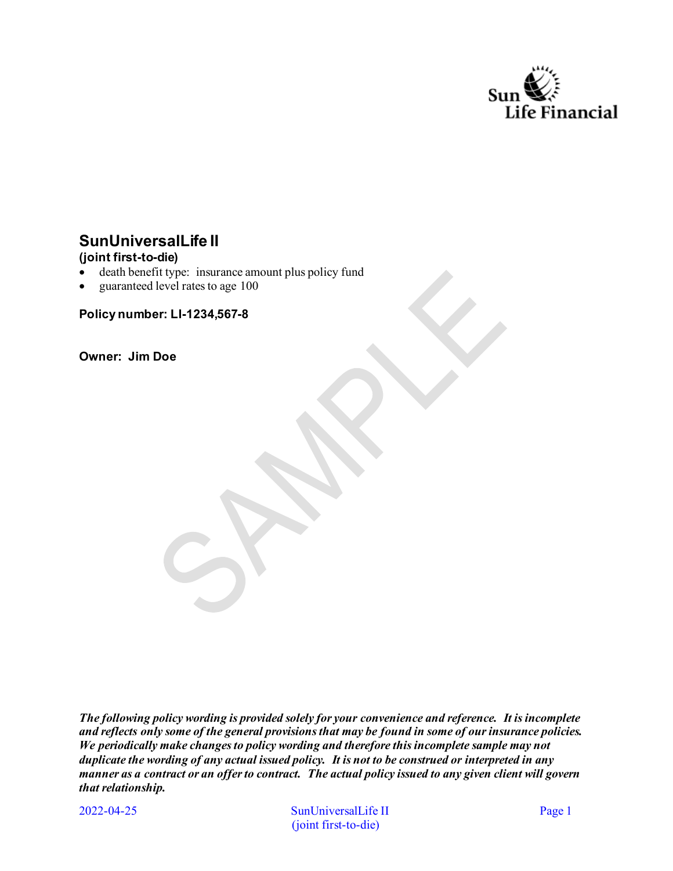

# **SunUniversalLife II**

## **(joint first-to-die)**

- death benefit type: insurance amount plus policy fund
- guaranteed level rates to age 100

**Policy number: LI-1234,567-8** 

**Owner: Jim Doe** 

*The following policy wording is provided solely for your convenience and reference. It is incomplete and reflects only some of the general provisions that may be found in some of our insurance policies. We periodically make changes to policy wording and therefore this incomplete sample may not duplicate the wording of any actual issued policy. It is not to be construed or interpreted in any manner as a contract or an offer to contract. The actual policy issued to any given client will govern that relationship.* 

2022-04-25

SunUniversalLife II Page 1 (joint first-to-die)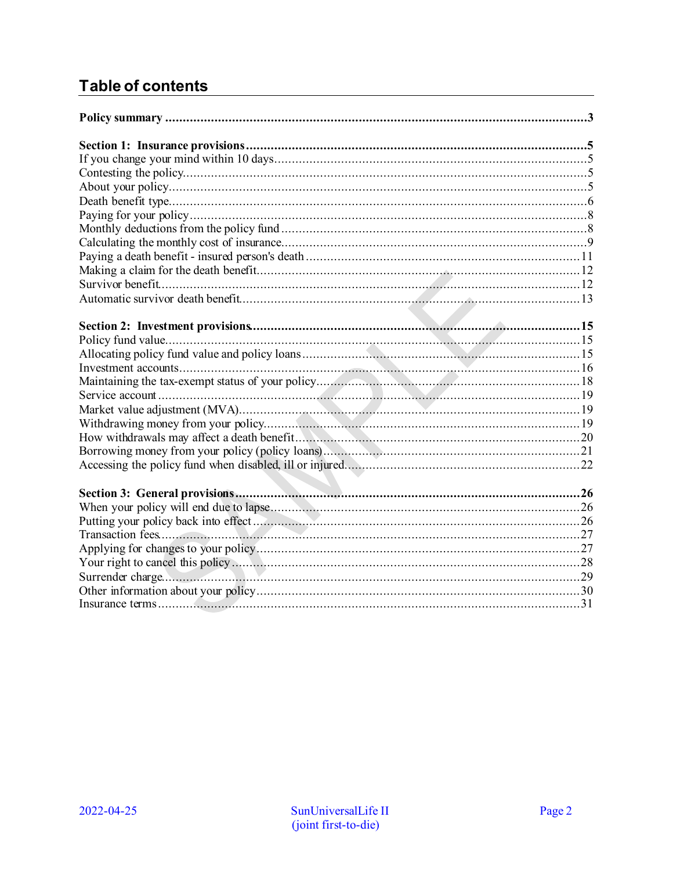# **Table of contents**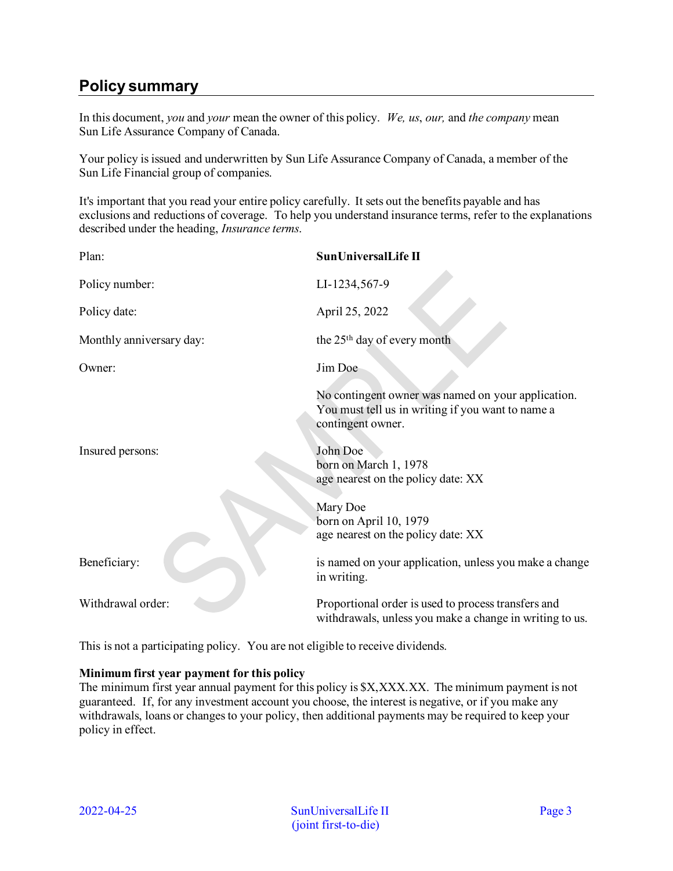# <span id="page-2-0"></span>**Policy summary**

In this document, *you* and *your* mean the owner of this policy. *We, us*, *our,* and *the company* mean Sun Life Assurance Company of Canada.

Your policy is issued and underwritten by Sun Life Assurance Company of Canada, a member of the Sun Life Financial group of companies.

It's important that you read your entire policy carefully. It sets out the benefits payable and has exclusions and reductions of coverage. To help you understand insurance terms, refer to the explanations described under the heading, *Insurance terms*.

| Plan:                    | SunUniversalLife II                                                                                                          |
|--------------------------|------------------------------------------------------------------------------------------------------------------------------|
| Policy number:           | LI-1234,567-9                                                                                                                |
| Policy date:             | April 25, 2022                                                                                                               |
| Monthly anniversary day: | the 25 <sup>th</sup> day of every month                                                                                      |
| Owner:                   | Jim Doe                                                                                                                      |
|                          | No contingent owner was named on your application.<br>You must tell us in writing if you want to name a<br>contingent owner. |
| Insured persons:         | John Doe<br>born on March 1, 1978<br>age nearest on the policy date: XX                                                      |
|                          | Mary Doe<br>born on April 10, 1979<br>age nearest on the policy date: XX                                                     |
| Beneficiary:             | is named on your application, unless you make a change<br>in writing.                                                        |
| Withdrawal order:        | Proportional order is used to process transfers and<br>withdrawals, unless you make a change in writing to us.               |

This is not a participating policy. You are not eligible to receive dividends.

### **Minimum first year payment for this policy**

The minimum first year annual payment for this policy is  $X, XXX, XX$ . The minimum payment is not guaranteed. If, for any investment account you choose, the interest is negative, or if you make any withdrawals, loans or changes to your policy, then additional payments may be required to keep your policy in effect.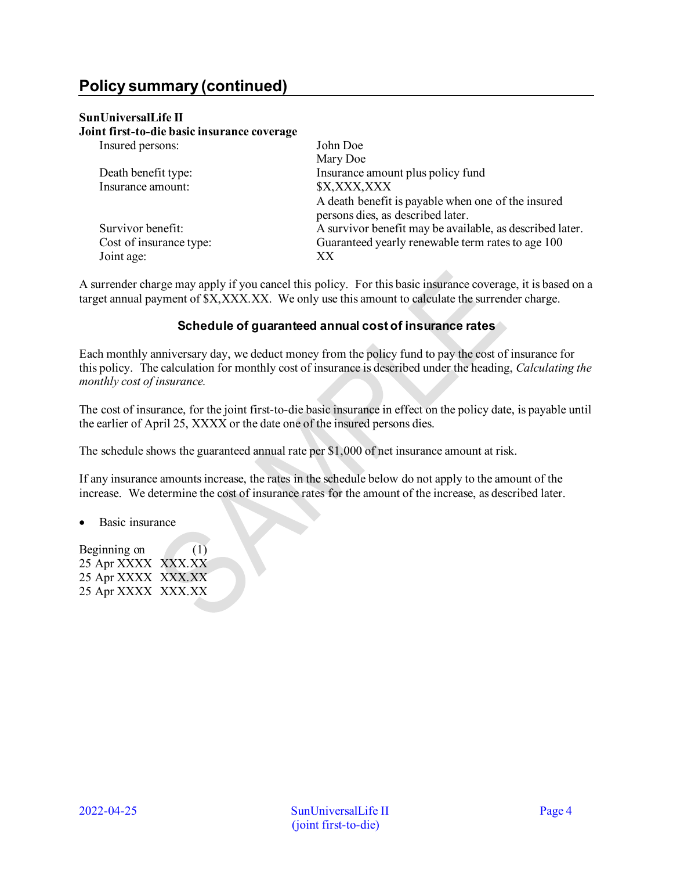# **Policy summary (continued)**

### **SunUniversalLife II**

**Joint first-to-die basic insurance coverage** 

| Insured persons:        | John Doe                                                 |  |
|-------------------------|----------------------------------------------------------|--|
| Death benefit type:     | Mary Doe<br>Insurance amount plus policy fund            |  |
| Insurance amount:       | \$X,XXX,XXX                                              |  |
|                         | A death benefit is payable when one of the insured       |  |
|                         | persons dies, as described later.                        |  |
| Survivor benefit:       | A survivor benefit may be available, as described later. |  |
| Cost of insurance type: | Guaranteed yearly renewable term rates to age 100        |  |
| Joint age:              | XX                                                       |  |

A surrender charge may apply if you cancel this policy. For this basic insurance coverage, it is based on a target annual payment of \$X,XXX.XX. We only use this amount to calculate the surrender charge.

#### **Schedule of guaranteed annual cost of insurance rates**

Each monthly anniversary day, we deduct money from the policy fund to pay the cost of insurance for this policy. The calculation for monthly cost of insurance is described under the heading, *Calculating the monthly cost of insurance.* 

The cost of insurance, for the joint first-to-die basic insurance in effect on the policy date, is payable until the earlier of April 25, XXXX or the date one of the insured persons dies.

The schedule shows the guaranteed annual rate per \$1,000 of net insurance amount at risk.

If any insurance amounts increase, the rates in the schedule below do not apply to the amount of the increase. We determine the cost of insurance rates for the amount of the increase, as described later.

• Basic insurance

Beginning on  $(1)$ 25 Apr XXXX XXX.XX 25 Apr XXXX XXX.XX 25 Apr XXXX XXX.XX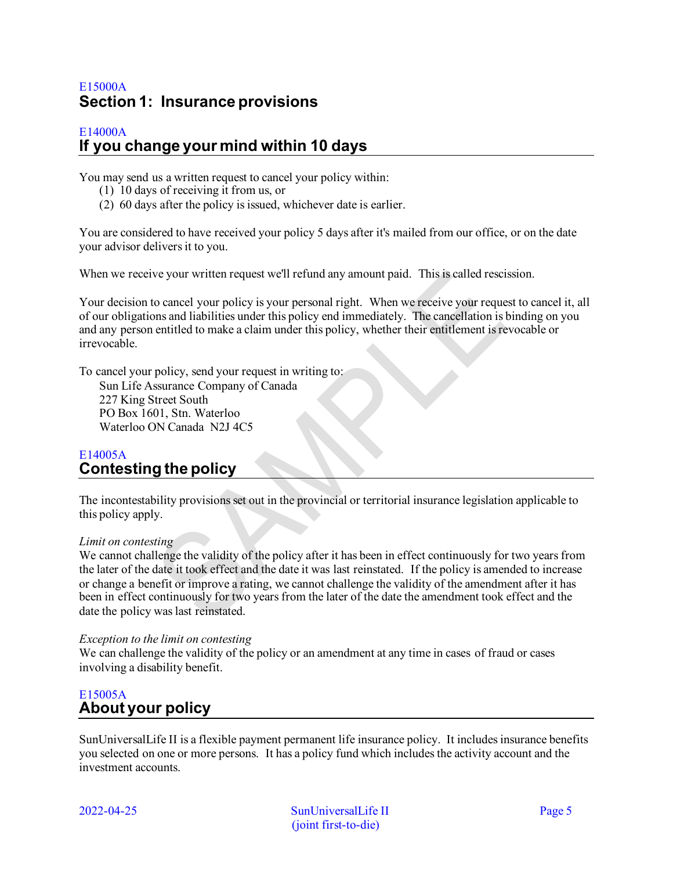# <span id="page-4-0"></span>E15000A **Section 1: Insurance provisions**

## <span id="page-4-1"></span>E14000A **If you change your mind within 10 days**

You may send us a written request to cancel your policy within:

- (1) 10 days of receiving it from us, or
- (2) 60 days after the policy is issued, whichever date is earlier.

You are considered to have received your policy 5 days after it's mailed from our office, or on the date your advisor delivers it to you.

When we receive your written request we'll refund any amount paid. This is called rescission.

Your decision to cancel your policy is your personal right. When we receive your request to cancel it, all of our obligations and liabilities under this policy end immediately. The cancellation is binding on you and any person entitled to make a claim under this policy, whether their entitlement is revocable or irrevocable.

To cancel your policy, send your request in writing to:

Sun Life Assurance Company of Canada 227 King Street South PO Box 1601, Stn. Waterloo Waterloo ON Canada N2J 4C5

## <span id="page-4-2"></span>E14005A **Contesting the policy**

The incontestability provisions set out in the provincial or territorial insurance legislation applicable to this policy apply.

### *Limit on contesting*

We cannot challenge the validity of the policy after it has been in effect continuously for two years from the later of the date it took effect and the date it was last reinstated. If the policy is amended to increase or change a benefit or improve a rating, we cannot challenge the validity of the amendment after it has been in effect continuously for two years from the later of the date the amendment took effect and the date the policy was last reinstated.

### *Exception to the limit on contesting*

We can challenge the validity of the policy or an amendment at any time in cases of fraud or cases involving a disability benefit.

## <span id="page-4-3"></span>E15005A **About your policy**

SunUniversalLife II is a flexible payment permanent life insurance policy. It includes insurance benefits you selected on one or more persons. It has a policy fund which includes the activity account and the investment accounts.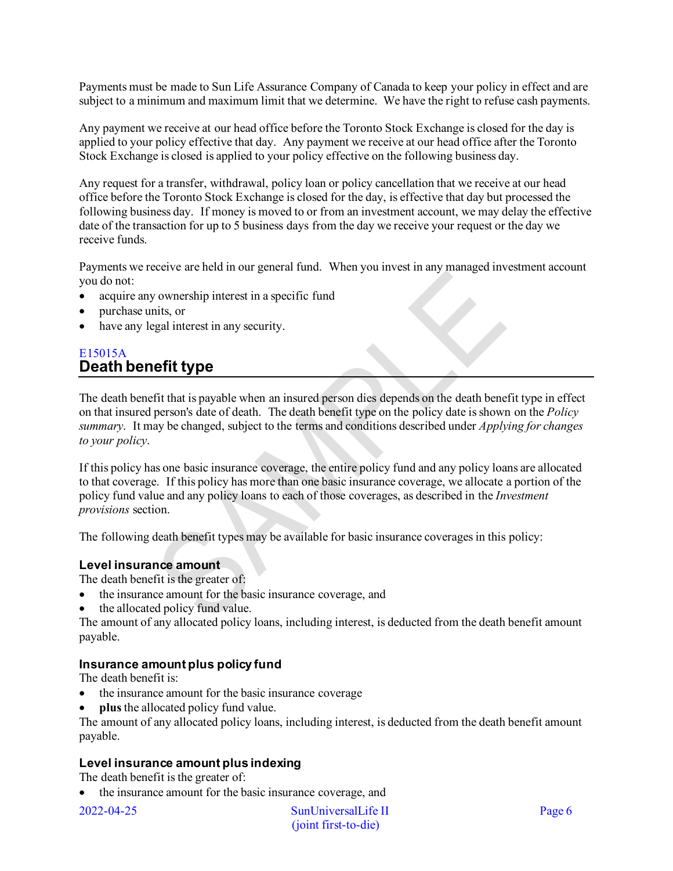Payments must be made to Sun Life Assurance Company of Canada to keep your policy in effect and are subject to a minimum and maximum limit that we determine. We have the right to refuse cash payments.

Any payment we receive at our head office before the Toronto Stock Exchange is closed for the day is applied to your policy effective that day. Any payment we receive at our head office after the Toronto Stock Exchange is closed is applied to your policy effective on the following business day.

Any request for a transfer, withdrawal, policy loan or policy cancellation that we receive at our head office before the Toronto Stock Exchange is closed for the day, is effective that day but processed the following business day. If money is moved to or from an investment account, we may delay the effective date of the transaction for up to 5 business days from the day we receive your request or the day we receive funds.

Payments we receive are held in our general fund. When you invest in any managed investment account you do not:

- acquire any ownership interest in a specific fund
- purchase units, or
- have any legal interest in any security.

## <span id="page-5-0"></span>E15015A **Death benefit type**

The death benefit that is payable when an insured person dies depends on the death benefit type in effect on that insured person's date of death. The death benefit type on the policy date is shown on the *Policy summary*. It may be changed, subject to the terms and conditions described under *Applying for changes to your policy*.

If this policy has one basic insurance coverage, the entire policy fund and any policy loans are allocated to that coverage. If this policy has more than one basic insurance coverage, we allocate a portion of the policy fund value and any policy loans to each of those coverages, as described in the *Investment provisions* section.

The following death benefit types may be available for basic insurance coverages in this policy:

### **Level insurance amount**

The death benefit is the greater of:

- the insurance amount for the basic insurance coverage, and
- the allocated policy fund value.

The amount of any allocated policy loans, including interest, is deducted from the death benefit amount payable.

## **Insurance amount plus policy fund**

The death benefit is:

- the insurance amount for the basic insurance coverage
- **plus** the allocated policy fund value.

The amount of any allocated policy loans, including interest, is deducted from the death benefit amount payable.

## **Level insurance amount plus indexing**

The death benefit is the greater of:

• the insurance amount for the basic insurance coverage, and

2022-04-25 SunUniversalLife II Page 6 (joint first-to-die)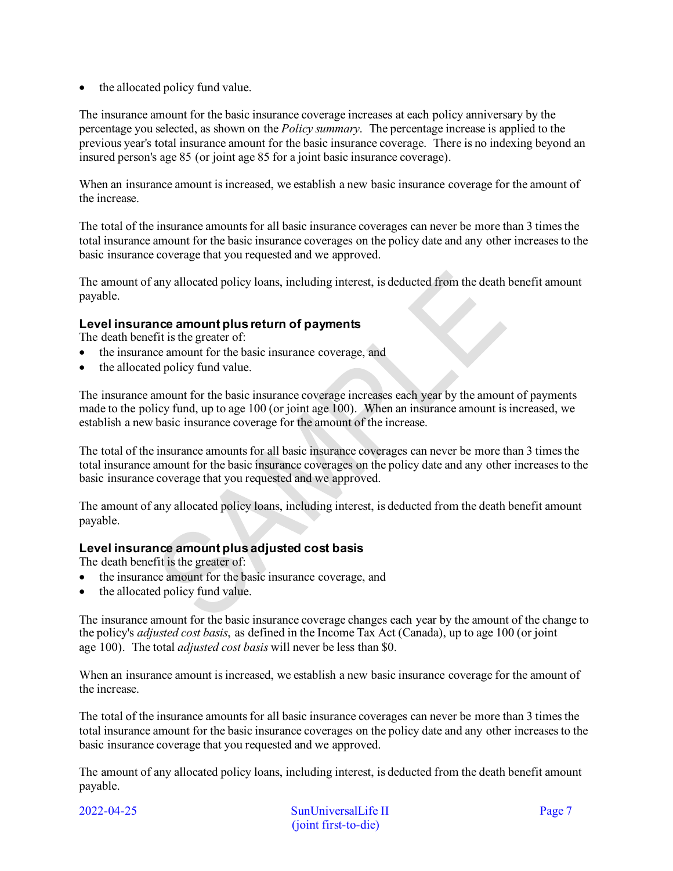• the allocated policy fund value.

The insurance amount for the basic insurance coverage increases at each policy anniversary by the percentage you selected, as shown on the *Policy summary*. The percentage increase is applied to the previous year's total insurance amount for the basic insurance coverage. There is no indexing beyond an insured person's age 85 (or joint age 85 for a joint basic insurance coverage).

When an insurance amount is increased, we establish a new basic insurance coverage for the amount of the increase.

The total of the insurance amounts for all basic insurance coverages can never be more than 3 times the total insurance amount for the basic insurance coverages on the policy date and any other increases to the basic insurance coverage that you requested and we approved.

The amount of any allocated policy loans, including interest, is deducted from the death benefit amount payable.

## **Level insurance amount plus return of payments**

The death benefit is the greater of:

- the insurance amount for the basic insurance coverage, and
- the allocated policy fund value.

The insurance amount for the basic insurance coverage increases each year by the amount of payments made to the policy fund, up to age 100 (or joint age 100). When an insurance amount is increased, we establish a new basic insurance coverage for the amount of the increase.

The total of the insurance amounts for all basic insurance coverages can never be more than 3 times the total insurance amount for the basic insurance coverages on the policy date and any other increases to the basic insurance coverage that you requested and we approved.

The amount of any allocated policy loans, including interest, is deducted from the death benefit amount payable.

## **Level insurance amount plus adjusted cost basis**

The death benefit is the greater of:

- the insurance amount for the basic insurance coverage, and
- the allocated policy fund value.

The insurance amount for the basic insurance coverage changes each year by the amount of the change to the policy's *adjusted cost basis*, as defined in the Income Tax Act (Canada), up to age 100 (or joint age 100). The total *adjusted cost basis* will never be less than \$0.

When an insurance amount is increased, we establish a new basic insurance coverage for the amount of the increase.

The total of the insurance amounts for all basic insurance coverages can never be more than 3 times the total insurance amount for the basic insurance coverages on the policy date and any other increases to the basic insurance coverage that you requested and we approved.

The amount of any allocated policy loans, including interest, is deducted from the death benefit amount payable.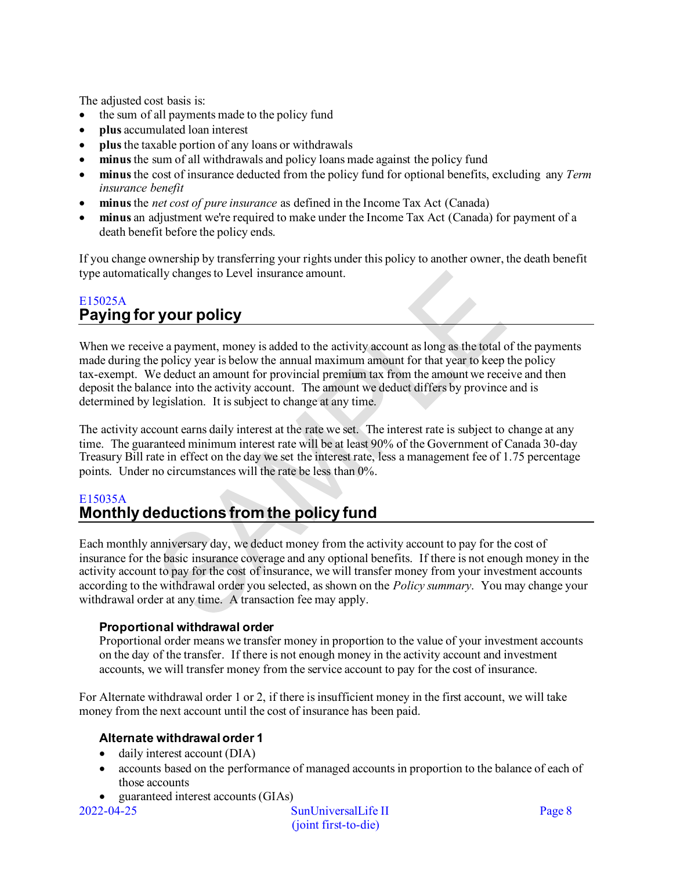The adjusted cost basis is:

- the sum of all payments made to the policy fund
- **plus** accumulated loan interest
- **plus** the taxable portion of any loans or withdrawals
- **minus** the sum of all withdrawals and policy loans made against the policy fund
- **minus** the cost of insurance deducted from the policy fund for optional benefits, excluding any *Term insurance benefit*
- **minus** the *net cost of pure insurance* as defined in the Income Tax Act (Canada)
- **minus** an adjustment we're required to make under the Income Tax Act (Canada) for payment of a death benefit before the policy ends.

If you change ownership by transferring your rights under this policy to another owner, the death benefit type automatically changes to Level insurance amount.

## <span id="page-7-0"></span>E15025A **Paying for your policy**

When we receive a payment, money is added to the activity account as long as the total of the payments made during the policy year is below the annual maximum amount for that year to keep the policy tax-exempt. We deduct an amount for provincial premium tax from the amount we receive and then deposit the balance into the activity account. The amount we deduct differs by province and is determined by legislation. It is subject to change at any time.

The activity account earns daily interest at the rate we set. The interest rate is subject to change at any time. The guaranteed minimum interest rate will be at least 90% of the Government of Canada 30-day Treasury Bill rate in effect on the day we set the interest rate, less a management fee of 1.75 percentage points. Under no circumstances will the rate be less than 0%.

## <span id="page-7-1"></span>E15035A **Monthly deductions from the policy fund**

Each monthly anniversary day, we deduct money from the activity account to pay for the cost of insurance for the basic insurance coverage and any optional benefits. If there is not enough money in the activity account to pay for the cost of insurance, we will transfer money from your investment accounts according to the withdrawal order you selected, as shown on the *Policy summary*. You may change your withdrawal order at any time. A transaction fee may apply.

## **Proportional withdrawal order**

Proportional order means we transfer money in proportion to the value of your investment accounts on the day of the transfer. If there is not enough money in the activity account and investment accounts, we will transfer money from the service account to pay for the cost of insurance.

For Alternate withdrawal order 1 or 2, if there is insufficient money in the first account, we will take money from the next account until the cost of insurance has been paid.

## **Alternate withdrawal order 1**

- daily interest account (DIA)
- accounts based on the performance of managed accounts in proportion to the balance of each of those accounts
- guaranteed interest accounts (GIAs)

2022-04-25 SunUniversalLife II Page 8 (joint first-to-die)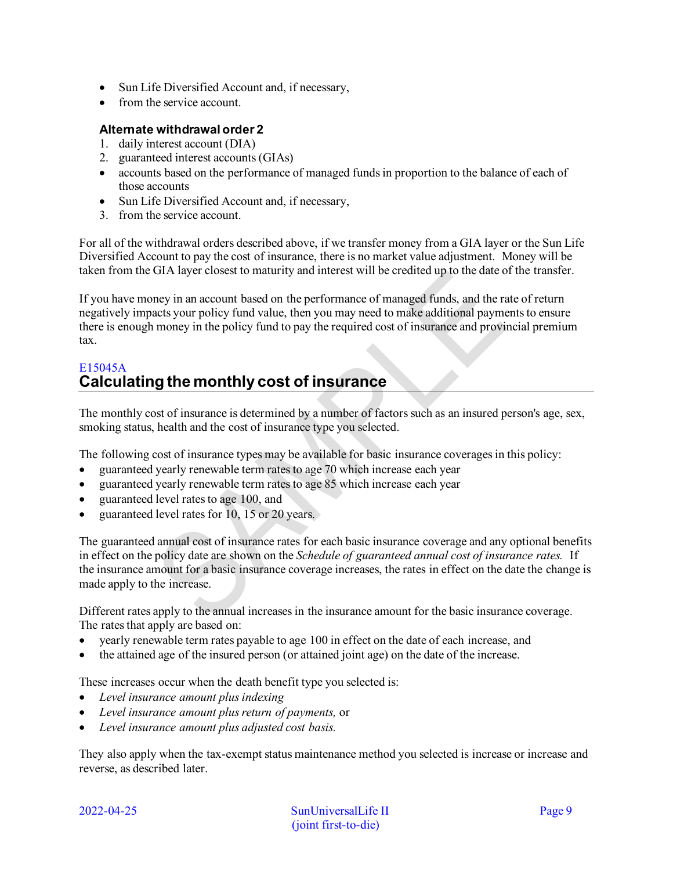- Sun Life Diversified Account and, if necessary,
- from the service account.

## **Alternate withdrawal order 2**

- 1. daily interest account (DIA)
- 2. guaranteed interest accounts (GIAs)
- accounts based on the performance of managed funds in proportion to the balance of each of those accounts
- Sun Life Diversified Account and, if necessary,
- 3. from the service account.

For all of the withdrawal orders described above, if we transfer money from a GIA layer or the Sun Life Diversified Account to pay the cost of insurance, there is no market value adjustment. Money will be taken from the GIA layer closest to maturity and interest will be credited up to the date of the transfer.

If you have money in an account based on the performance of managed funds, and the rate of return negatively impacts your policy fund value, then you may need to make additional payments to ensure there is enough money in the policy fund to pay the required cost of insurance and provincial premium tax.

## <span id="page-8-0"></span>E15045A **Calculating the monthly cost of insurance**

The monthly cost of insurance is determined by a number of factors such as an insured person's age, sex, smoking status, health and the cost of insurance type you selected.

The following cost of insurance types may be available for basic insurance coverages in this policy:

- guaranteed yearly renewable term rates to age 70 which increase each year
- guaranteed yearly renewable term rates to age 85 which increase each year
- guaranteed level rates to age 100, and
- guaranteed level rates for 10, 15 or 20 years.

The guaranteed annual cost of insurance rates for each basic insurance coverage and any optional benefits in effect on the policy date are shown on the *Schedule of guaranteed annual cost of insurance rates.* If the insurance amount for a basic insurance coverage increases, the rates in effect on the date the change is made apply to the increase.

Different rates apply to the annual increases in the insurance amount for the basic insurance coverage. The rates that apply are based on:

- yearly renewable term rates payable to age 100 in effect on the date of each increase, and
- the attained age of the insured person (or attained joint age) on the date of the increase.

These increases occur when the death benefit type you selected is:

- *Level insurance amount plus indexing*
- *Level insurance amount plus return of payments,* or
- *Level insurance amount plus adjusted cost basis.*

They also apply when the tax-exempt status maintenance method you selected is increase or increase and reverse, as described later.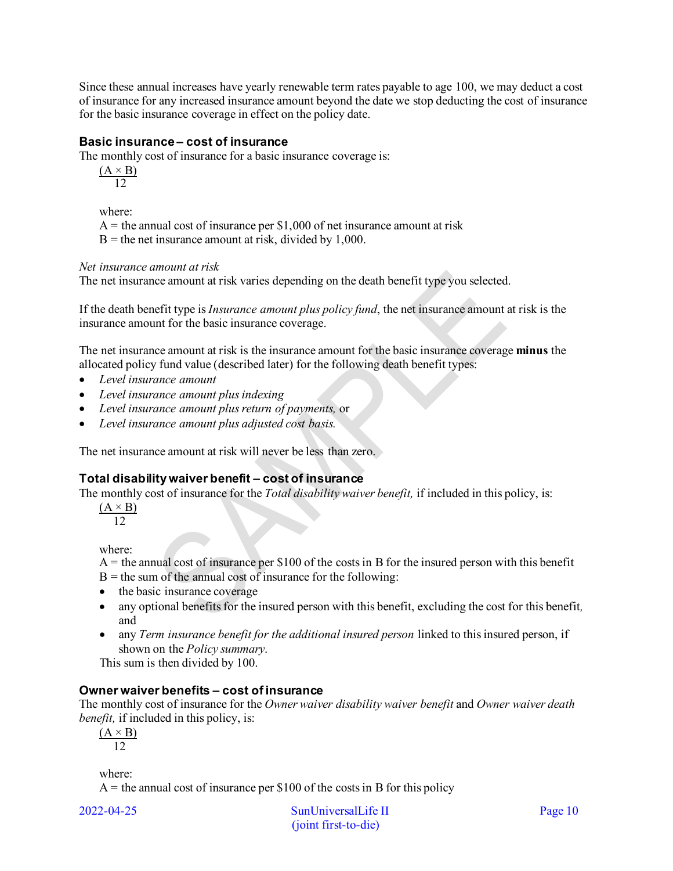Since these annual increases have yearly renewable term rates payable to age 100, we may deduct a cost of insurance for any increased insurance amount beyond the date we stop deducting the cost of insurance for the basic insurance coverage in effect on the policy date.

## **Basic insurance – cost of insurance**

The monthly cost of insurance for a basic insurance coverage is:

 $(A \times B)$ 12

where:

 $A =$  the annual cost of insurance per \$1,000 of net insurance amount at risk

 $B =$  the net insurance amount at risk, divided by 1,000.

### *Net insurance amount at risk*

The net insurance amount at risk varies depending on the death benefit type you selected.

If the death benefit type is *Insurance amount plus policy fund*, the net insurance amount at risk is the insurance amount for the basic insurance coverage.

The net insurance amount at risk is the insurance amount for the basic insurance coverage **minus** the allocated policy fund value (described later) for the following death benefit types:

- *Level insurance amount*
- *Level insurance amount plus indexing*
- *Level insurance amount plus return of payments,* or
- *Level insurance amount plus adjusted cost basis.*

The net insurance amount at risk will never be less than zero.

## **Total disability waiver benefit – cost of insurance**

The monthly cost of insurance for the *Total disability waiver benefit,* if included in this policy, is:

 $(A \times B)$  $12$ 

where:

- $A =$  the annual cost of insurance per \$100 of the costs in B for the insured person with this benefit
- $B =$  the sum of the annual cost of insurance for the following:
- the basic insurance coverage
- any optional benefits for the insured person with this benefit, excluding the cost for this benefit*,*  and
- any *Term insurance benefit for the additional insured person* linked to this insured person, if shown on the *Policy summary*.

This sum is then divided by 100.

### **Owner waiver benefits – cost of insurance**

The monthly cost of insurance for the *Owner waiver disability waiver benefit* and *Owner waiver death benefit,* if included in this policy, is:

 $(A \times B)$ 12

where:

 $A =$  the annual cost of insurance per \$100 of the costs in B for this policy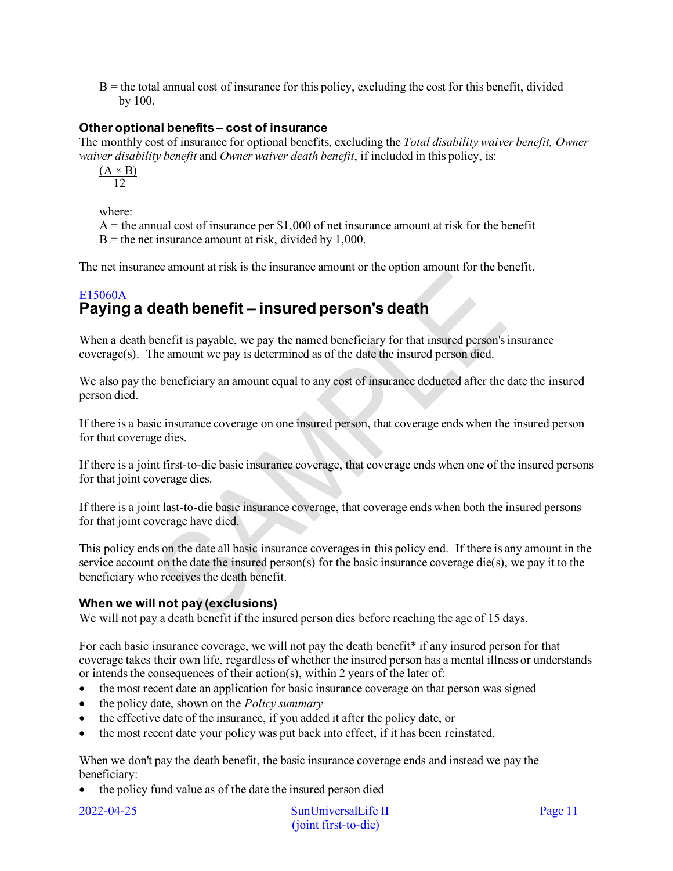$B =$  the total annual cost of insurance for this policy, excluding the cost for this benefit, divided by 100.

## **Other optional benefits – cost of insurance**

The monthly cost of insurance for optional benefits, excluding the *Total disability waiver benefit, Owner waiver disability benefit* and *Owner waiver death benefit*, if included in this policy, is:

 $(A \times B)$ 12

where:

 $A =$  the annual cost of insurance per \$1,000 of net insurance amount at risk for the benefit  $B =$  the net insurance amount at risk, divided by 1,000.

The net insurance amount at risk is the insurance amount or the option amount for the benefit.

## <span id="page-10-0"></span>E15060A **Paying a death benefit – insured person's death**

When a death benefit is payable, we pay the named beneficiary for that insured person's insurance coverage(s). The amount we pay is determined as of the date the insured person died.

We also pay the beneficiary an amount equal to any cost of insurance deducted after the date the insured person died.

If there is a basic insurance coverage on one insured person, that coverage ends when the insured person for that coverage dies.

If there is a joint first-to-die basic insurance coverage, that coverage ends when one of the insured persons for that joint coverage dies.

If there is a joint last-to-die basic insurance coverage, that coverage ends when both the insured persons for that joint coverage have died.

This policy ends on the date all basic insurance coverages in this policy end. If there is any amount in the service account on the date the insured person(s) for the basic insurance coverage die(s), we pay it to the beneficiary who receives the death benefit.

## **When we will not pay (exclusions)**

We will not pay a death benefit if the insured person dies before reaching the age of 15 days.

For each basic insurance coverage, we will not pay the death benefit\* if any insured person for that coverage takes their own life, regardless of whether the insured person has a mental illness or understands or intends the consequences of their action(s), within 2 years of the later of:

- the most recent date an application for basic insurance coverage on that person was signed
- the policy date, shown on the *Policy summary*
- the effective date of the insurance, if you added it after the policy date, or
- the most recent date your policy was put back into effect, if it has been reinstated.

When we don't pay the death benefit, the basic insurance coverage ends and instead we pay the beneficiary:

• the policy fund value as of the date the insured person died

2022-04-25 SunUniversalLife II Page 11 (joint first-to-die)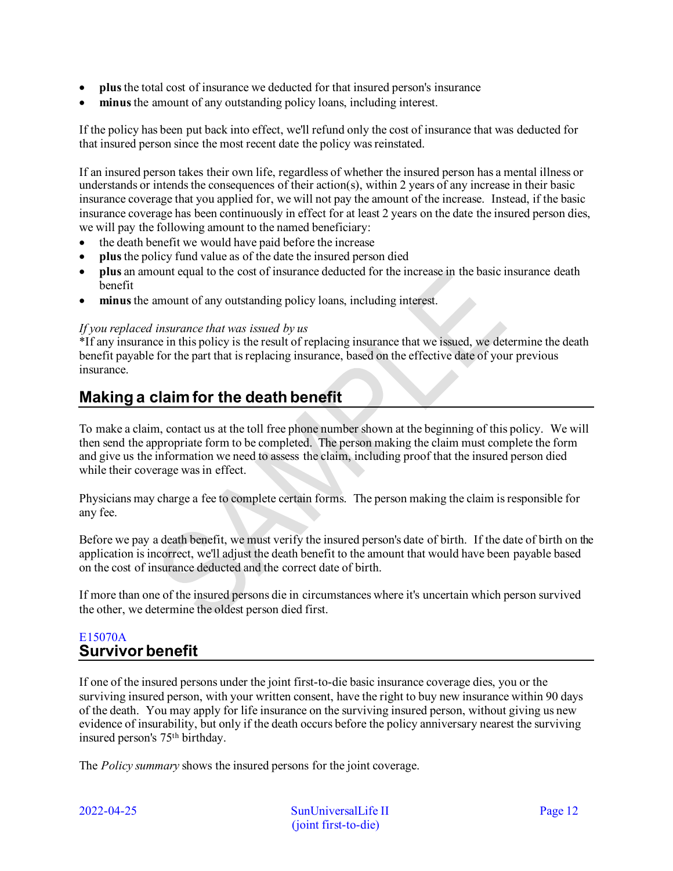- **plus** the total cost of insurance we deducted for that insured person's insurance
- **minus** the amount of any outstanding policy loans, including interest.

If the policy has been put back into effect, we'll refund only the cost of insurance that was deducted for that insured person since the most recent date the policy was reinstated.

If an insured person takes their own life, regardless of whether the insured person has a mental illness or understands or intends the consequences of their action(s), within 2 years of any increase in their basic insurance coverage that you applied for, we will not pay the amount of the increase. Instead, if the basic insurance coverage has been continuously in effect for at least 2 years on the date the insured person dies, we will pay the following amount to the named beneficiary:

- the death benefit we would have paid before the increase
- **plus** the policy fund value as of the date the insured person died
- **plus** an amount equal to the cost of insurance deducted for the increase in the basic insurance death benefit
- **minus** the amount of any outstanding policy loans, including interest.

### *If you replaced insurance that was issued by us*

\*If any insurance in this policy is the result of replacing insurance that we issued, we determine the death benefit payable for the part that is replacing insurance, based on the effective date of your previous insurance.

# <span id="page-11-0"></span>**Making a claim for the death benefit**

To make a claim, contact us at the toll free phone number shown at the beginning of this policy. We will then send the appropriate form to be completed. The person making the claim must complete the form and give us the information we need to assess the claim, including proof that the insured person died while their coverage was in effect.

Physicians may charge a fee to complete certain forms. The person making the claim is responsible for any fee.

Before we pay a death benefit, we must verify the insured person's date of birth. If the date of birth on the application is incorrect, we'll adjust the death benefit to the amount that would have been payable based on the cost of insurance deducted and the correct date of birth.

If more than one of the insured persons die in circumstances where it's uncertain which person survived the other, we determine the oldest person died first.

## <span id="page-11-1"></span>E15070A **Survivor benefit**

If one of the insured persons under the joint first-to-die basic insurance coverage dies, you or the surviving insured person, with your written consent, have the right to buy new insurance within 90 days of the death. You may apply for life insurance on the surviving insured person, without giving us new evidence of insurability, but only if the death occurs before the policy anniversary nearest the surviving insured person's 75th birthday.

The *Policy summary* shows the insured persons for the joint coverage.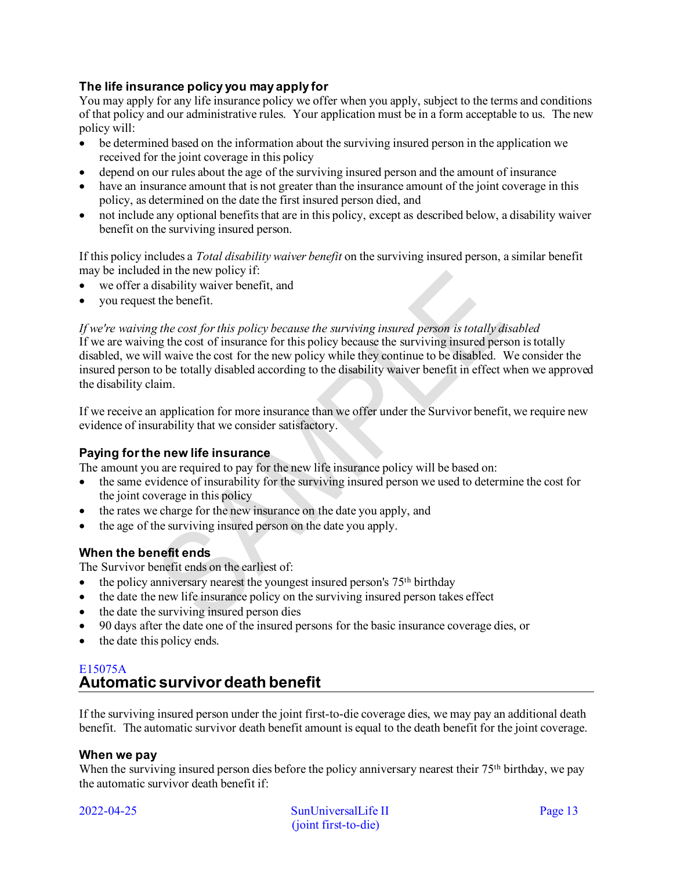## **The life insurance policy you may apply for**

You may apply for any life insurance policy we offer when you apply, subject to the terms and conditions of that policy and our administrative rules. Your application must be in a form acceptable to us. The new policy will:

- be determined based on the information about the surviving insured person in the application we received for the joint coverage in this policy
- depend on our rules about the age of the surviving insured person and the amount of insurance
- have an insurance amount that is not greater than the insurance amount of the joint coverage in this policy, as determined on the date the first insured person died, and
- not include any optional benefits that are in this policy, except as described below, a disability waiver benefit on the surviving insured person.

If this policy includes a *Total disability waiver benefit* on the surviving insured person, a similar benefit may be included in the new policy if:

- we offer a disability waiver benefit, and
- you request the benefit.

*If we're waiving the cost for this policy because the surviving insured person is totally disabled*  If we are waiving the cost of insurance for this policy because the surviving insured person is totally disabled, we will waive the cost for the new policy while they continue to be disabled. We consider the insured person to be totally disabled according to the disability waiver benefit in effect when we approved the disability claim.

If we receive an application for more insurance than we offer under the Survivor benefit, we require new evidence of insurability that we consider satisfactory.

### **Paying for the new life insurance**

The amount you are required to pay for the new life insurance policy will be based on:

- the same evidence of insurability for the surviving insured person we used to determine the cost for the joint coverage in this policy
- the rates we charge for the new insurance on the date you apply, and
- the age of the surviving insured person on the date you apply.

## **When the benefit ends**

The Survivor benefit ends on the earliest of:

- the policy anniversary nearest the youngest insured person's  $75<sup>th</sup>$  birthday
- the date the new life insurance policy on the surviving insured person takes effect
- the date the surviving insured person dies
- 90 days after the date one of the insured persons for the basic insurance coverage dies, or
- the date this policy ends.

## <span id="page-12-0"></span>E15075A **Automatic survivor death benefit**

If the surviving insured person under the joint first-to-die coverage dies, we may pay an additional death benefit. The automatic survivor death benefit amount is equal to the death benefit for the joint coverage.

## **When we pay**

When the surviving insured person dies before the policy anniversary nearest their 75<sup>th</sup> birthday, we pay the automatic survivor death benefit if:

2022-04-25 SunUniversalLife II Page 13 (joint first-to-die)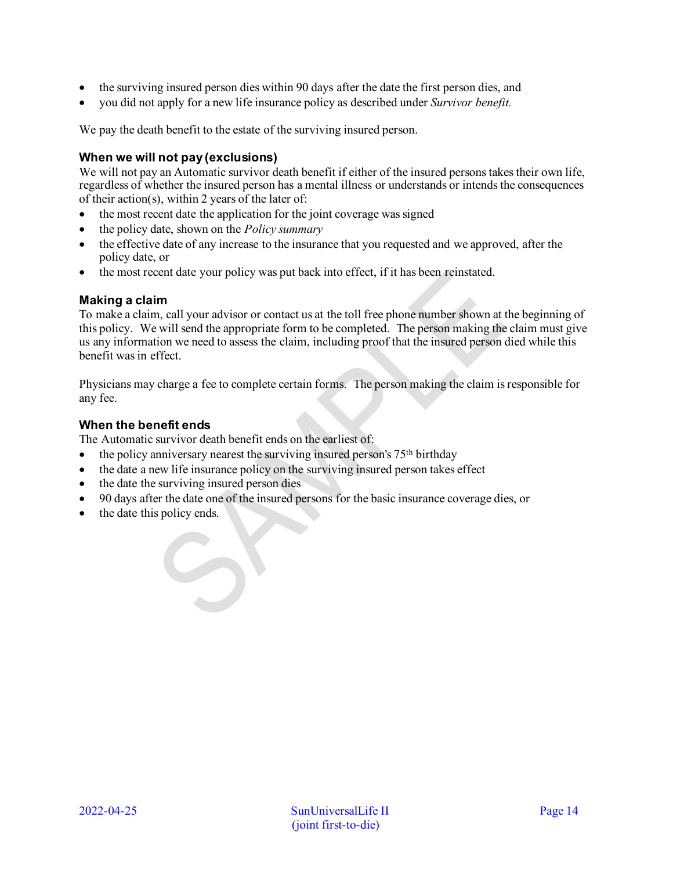- the surviving insured person dies within 90 days after the date the first person dies, and
- you did not apply for a new life insurance policy as described under *Survivor benefit.*

We pay the death benefit to the estate of the surviving insured person.

## **When we will not pay (exclusions)**

We will not pay an Automatic survivor death benefit if either of the insured persons takes their own life. regardless of whether the insured person has a mental illness or understands or intends the consequences of their action(s), within 2 years of the later of:

- the most recent date the application for the joint coverage was signed
- the policy date, shown on the *Policy summary*
- the effective date of any increase to the insurance that you requested and we approved, after the policy date, or
- the most recent date your policy was put back into effect, if it has been reinstated.

## **Making a claim**

To make a claim, call your advisor or contact us at the toll free phone number shown at the beginning of this policy. We will send the appropriate form to be completed. The person making the claim must give us any information we need to assess the claim, including proof that the insured person died while this benefit was in effect.

Physicians may charge a fee to complete certain forms. The person making the claim is responsible for any fee.

## **When the benefit ends**

The Automatic survivor death benefit ends on the earliest of:

- the policy anniversary nearest the surviving insured person's  $75<sup>th</sup>$  birthday
- the date a new life insurance policy on the surviving insured person takes effect
- the date the surviving insured person dies
- 90 days after the date one of the insured persons for the basic insurance coverage dies, or
- the date this policy ends.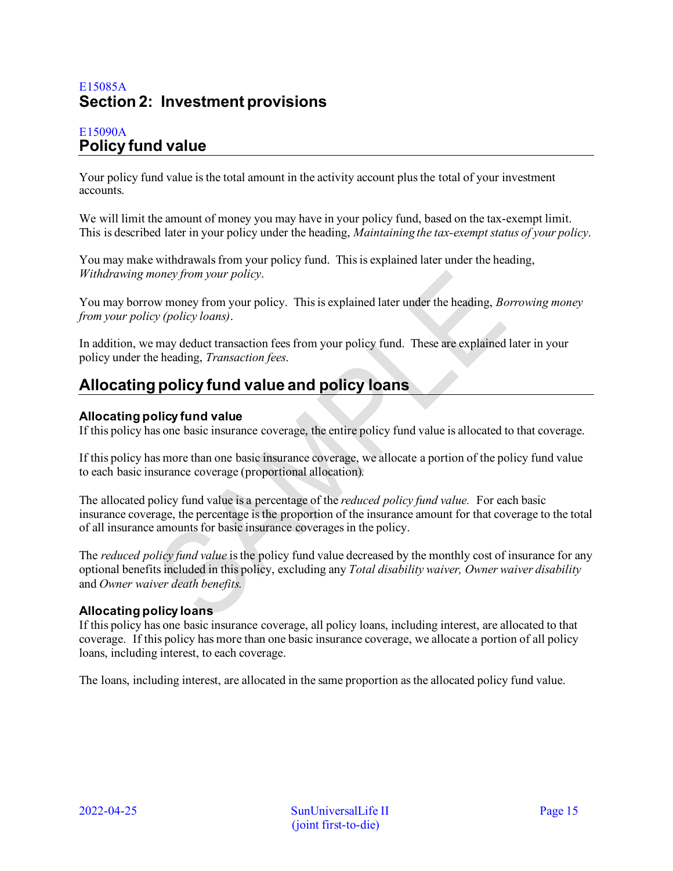# <span id="page-14-0"></span>E15085A **Section 2: Investment provisions**

## <span id="page-14-1"></span>E15090A **Policy fund value**

Your policy fund value is the total amount in the activity account plus the total of your investment accounts.

We will limit the amount of money you may have in your policy fund, based on the tax-exempt limit. This is described later in your policy under the heading, *Maintaining the tax-exempt status of your policy*.

You may make withdrawals from your policy fund. This is explained later under the heading, *Withdrawing money from your policy*.

You may borrow money from your policy. This is explained later under the heading, *Borrowing money from your policy (policy loans)*.

In addition, we may deduct transaction fees from your policy fund. These are explained later in your policy under the heading, *Transaction fees*.

# <span id="page-14-2"></span>**Allocating policy fund value and policy loans**

## **Allocating policy fund value**

If this policy has one basic insurance coverage, the entire policy fund value is allocated to that coverage.

If this policy has more than one basic insurance coverage, we allocate a portion of the policy fund value to each basic insurance coverage (proportional allocation).

The allocated policy fund value is a percentage of the *reduced policy fund value.* For each basic insurance coverage, the percentage is the proportion of the insurance amount for that coverage to the total of all insurance amounts for basic insurance coverages in the policy.

The *reduced policy fund value* is the policy fund value decreased by the monthly cost of insurance for any optional benefits included in this policy, excluding any *Total disability waiver, Owner waiver disability*  and *Owner waiver death benefits.* 

## **Allocating policy loans**

If this policy has one basic insurance coverage, all policy loans, including interest, are allocated to that coverage. If this policy has more than one basic insurance coverage, we allocate a portion of all policy loans, including interest, to each coverage.

The loans, including interest, are allocated in the same proportion as the allocated policy fund value.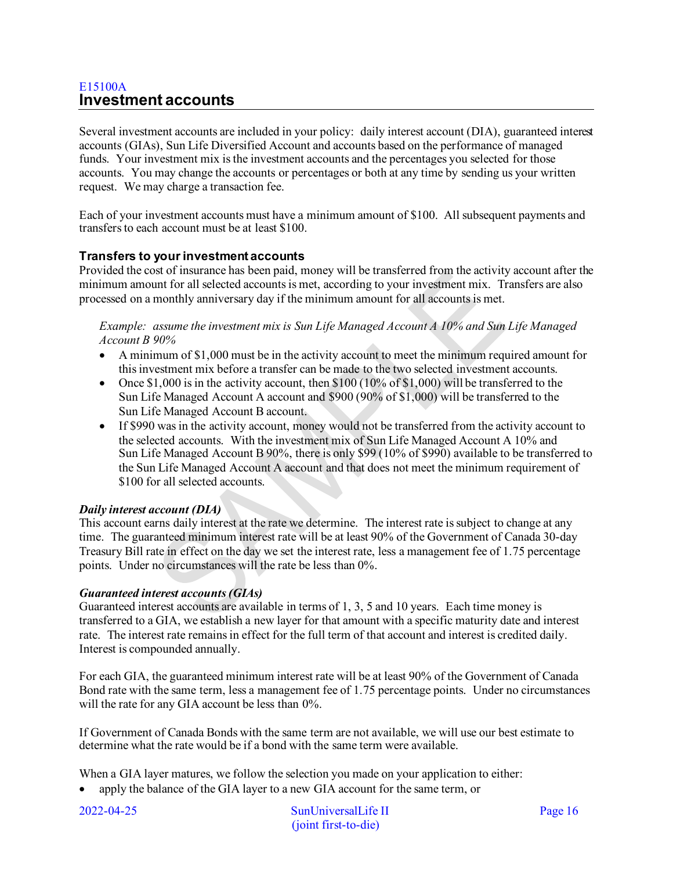## <span id="page-15-0"></span>E15100A **Investment accounts**

Several investment accounts are included in your policy: daily interest account (DIA), guaranteed interest accounts (GIAs), Sun Life Diversified Account and accounts based on the performance of managed funds. Your investment mix is the investment accounts and the percentages you selected for those accounts. You may change the accounts or percentages or both at any time by sending us your written request. We may charge a transaction fee.

Each of your investment accounts must have a minimum amount of \$100. All subsequent payments and transfers to each account must be at least \$100.

## **Transfers to your investment accounts**

Provided the cost of insurance has been paid, money will be transferred from the activity account after the minimum amount for all selected accounts is met, according to your investment mix. Transfers are also processed on a monthly anniversary day if the minimum amount for all accounts is met.

*Example: assume the investment mix is Sun Life Managed Account A 10% and Sun Life Managed Account B 90%* 

- A minimum of \$1,000 must be in the activity account to meet the minimum required amount for this investment mix before a transfer can be made to the two selected investment accounts.
- Once  $$1,000$  is in the activity account, then  $$100 (10\% \text{ of } $1,000)$  will be transferred to the Sun Life Managed Account A account and \$900 (90% of \$1,000) will be transferred to the Sun Life Managed Account B account.
- If \$990 was in the activity account, money would not be transferred from the activity account to the selected accounts. With the investment mix of Sun Life Managed Account A 10% and Sun Life Managed Account B 90%, there is only \$99 (10% of \$990) available to be transferred to the Sun Life Managed Account A account and that does not meet the minimum requirement of \$100 for all selected accounts.

## *Daily interest account (DIA)*

This account earns daily interest at the rate we determine. The interest rate is subject to change at any time. The guaranteed minimum interest rate will be at least 90% of the Government of Canada 30-day Treasury Bill rate in effect on the day we set the interest rate, less a management fee of 1.75 percentage points. Under no circumstances will the rate be less than 0%.

## *Guaranteed interest accounts (GIAs)*

Guaranteed interest accounts are available in terms of 1, 3, 5 and 10 years. Each time money is transferred to a GIA, we establish a new layer for that amount with a specific maturity date and interest rate. The interest rate remains in effect for the full term of that account and interest is credited daily. Interest is compounded annually.

For each GIA, the guaranteed minimum interest rate will be at least 90% of the Government of Canada Bond rate with the same term, less a management fee of 1.75 percentage points. Under no circumstances will the rate for any GIA account be less than  $0\%$ .

If Government of Canada Bonds with the same term are not available, we will use our best estimate to determine what the rate would be if a bond with the same term were available.

When a GIA layer matures, we follow the selection you made on your application to either:

• apply the balance of the GIA layer to a new GIA account for the same term, or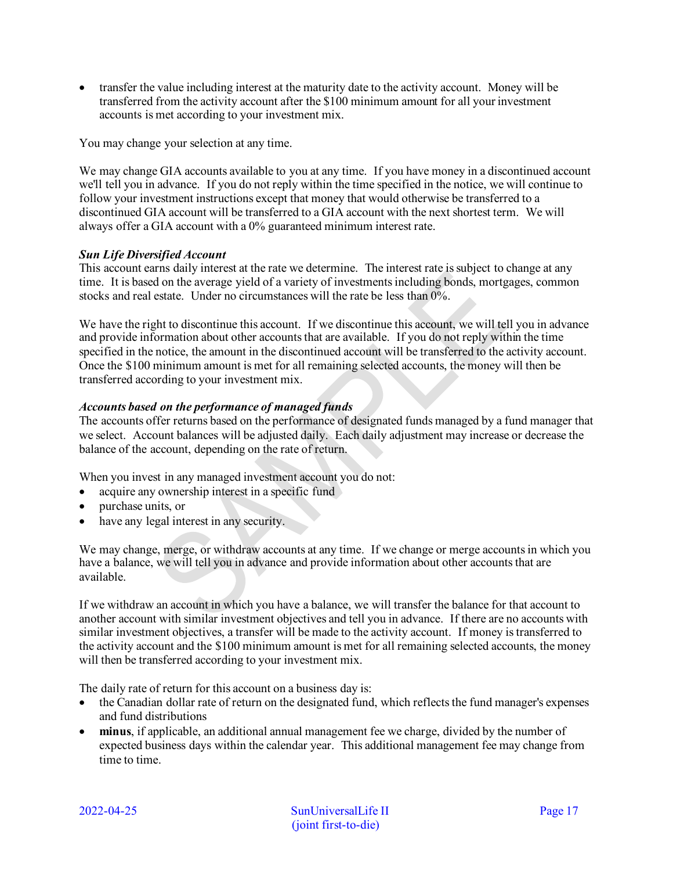• transfer the value including interest at the maturity date to the activity account. Money will be transferred from the activity account after the \$100 minimum amount for all your investment accounts is met according to your investment mix.

You may change your selection at any time.

We may change GIA accounts available to you at any time. If you have money in a discontinued account we'll tell you in advance. If you do not reply within the time specified in the notice, we will continue to follow your investment instructions except that money that would otherwise be transferred to a discontinued GIA account will be transferred to a GIA account with the next shortest term. We will always offer a GIA account with a 0% guaranteed minimum interest rate.

## *Sun Life Diversified Account*

This account earns daily interest at the rate we determine. The interest rate is subject to change at any time. It is based on the average yield of a variety of investments including bonds, mortgages, common stocks and real estate. Under no circumstances will the rate be less than 0%.

We have the right to discontinue this account. If we discontinue this account, we will tell you in advance and provide information about other accounts that are available. If you do not reply within the time specified in the notice, the amount in the discontinued account will be transferred to the activity account. Once the \$100 minimum amount is met for all remaining selected accounts, the money will then be transferred according to your investment mix.

## *Accounts based on the performance of managed funds*

The accounts offer returns based on the performance of designated funds managed by a fund manager that we select. Account balances will be adjusted daily. Each daily adjustment may increase or decrease the balance of the account, depending on the rate of return.

When you invest in any managed investment account you do not:

- acquire any ownership interest in a specific fund
- purchase units, or
- have any legal interest in any security.

We may change, merge, or withdraw accounts at any time. If we change or merge accounts in which you have a balance, we will tell you in advance and provide information about other accounts that are available.

If we withdraw an account in which you have a balance, we will transfer the balance for that account to another account with similar investment objectives and tell you in advance. If there are no accounts with similar investment objectives, a transfer will be made to the activity account. If money is transferred to the activity account and the \$100 minimum amount is met for all remaining selected accounts, the money will then be transferred according to your investment mix.

The daily rate of return for this account on a business day is:

- the Canadian dollar rate of return on the designated fund, which reflects the fund manager's expenses and fund distributions
- **minus**, if applicable, an additional annual management fee we charge, divided by the number of expected business days within the calendar year. This additional management fee may change from time to time.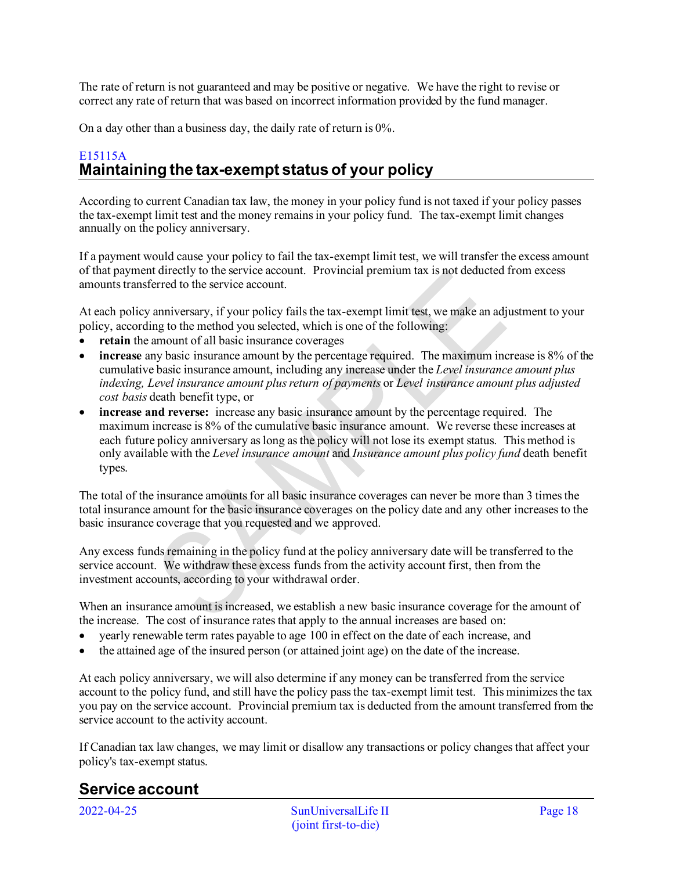The rate of return is not guaranteed and may be positive or negative. We have the right to revise or correct any rate of return that was based on incorrect information provided by the fund manager.

On a day other than a business day, the daily rate of return is 0%.

# <span id="page-17-0"></span>E15115A **Maintaining the tax-exempt status of your policy**

According to current Canadian tax law, the money in your policy fund is not taxed if your policy passes the tax-exempt limit test and the money remains in your policy fund. The tax-exempt limit changes annually on the policy anniversary.

If a payment would cause your policy to fail the tax-exempt limit test, we will transfer the excess amount of that payment directly to the service account. Provincial premium tax is not deducted from excess amounts transferred to the service account.

At each policy anniversary, if your policy fails the tax-exempt limit test, we make an adjustment to your policy, according to the method you selected, which is one of the following:

- **retain** the amount of all basic insurance coverages
- **increase** any basic insurance amount by the percentage required. The maximum increase is 8% of the cumulative basic insurance amount, including any increase under the *Level insurance amount plus indexing, Level insurance amount plus return of payments* or *Level insurance amount plus adjusted cost basis* death benefit type, or
- **increase and reverse:** increase any basic insurance amount by the percentage required. The maximum increase is 8% of the cumulative basic insurance amount. We reverse these increases at each future policy anniversary as long as the policy will not lose its exempt status. This method is only available with the *Level insurance amount* and *Insurance amount plus policy fund* death benefit types.

The total of the insurance amounts for all basic insurance coverages can never be more than 3 times the total insurance amount for the basic insurance coverages on the policy date and any other increases to the basic insurance coverage that you requested and we approved.

Any excess funds remaining in the policy fund at the policy anniversary date will be transferred to the service account. We withdraw these excess funds from the activity account first, then from the investment accounts, according to your withdrawal order.

When an insurance amount is increased, we establish a new basic insurance coverage for the amount of the increase. The cost of insurance rates that apply to the annual increases are based on:

- yearly renewable term rates payable to age 100 in effect on the date of each increase, and
- the attained age of the insured person (or attained joint age) on the date of the increase.

At each policy anniversary, we will also determine if any money can be transferred from the service account to the policy fund, and still have the policy pass the tax-exempt limit test. This minimizes the tax you pay on the service account. Provincial premium tax is deducted from the amount transferred from the service account to the activity account.

If Canadian tax law changes, we may limit or disallow any transactions or policy changes that affect your policy's tax-exempt status.

# <span id="page-17-1"></span>**Service account**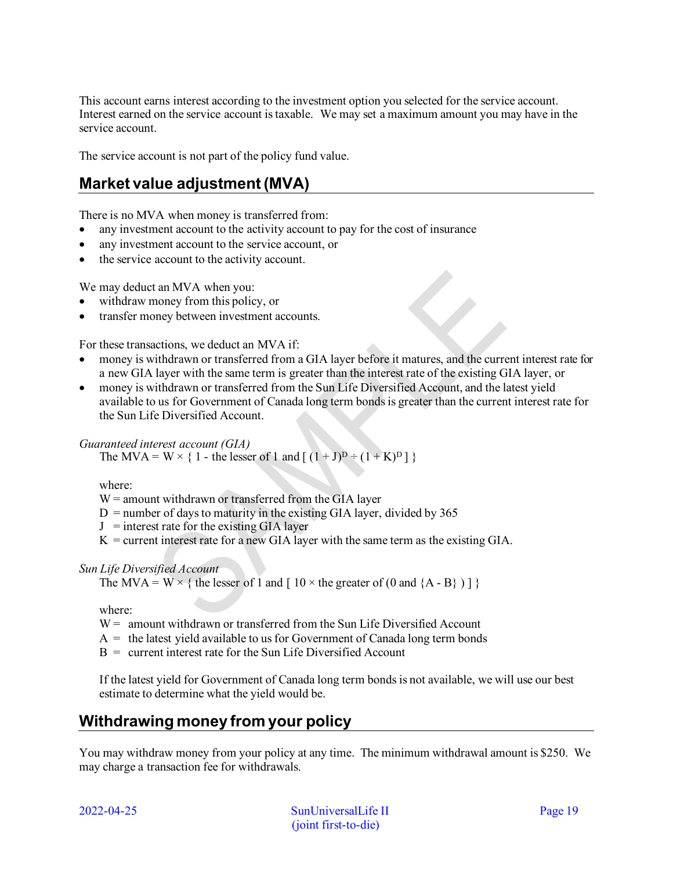This account earns interest according to the investment option you selected for the service account. Interest earned on the service account is taxable. We may set a maximum amount you may have in the service account.

The service account is not part of the policy fund value.

# <span id="page-18-0"></span>**Market value adjustment (MVA)**

There is no MVA when money is transferred from:

- any investment account to the activity account to pay for the cost of insurance
- any investment account to the service account, or
- the service account to the activity account.

We may deduct an MVA when you:

- withdraw money from this policy, or
- transfer money between investment accounts.

For these transactions, we deduct an MVA if:

- money is withdrawn or transferred from a GIA layer before it matures, and the current interest rate for a new GIA layer with the same term is greater than the interest rate of the existing GIA layer, or
- money is withdrawn or transferred from the Sun Life Diversified Account, and the latest yield available to us for Government of Canada long term bonds is greater than the current interest rate for the Sun Life Diversified Account.

## *Guaranteed interest account (GIA)*

The MVA = W  $\times$  { 1 - the lesser of 1 and [  $(1 + J)^D$  ÷  $(1 + K)^D$  ] }

where:

 $W =$  amount withdrawn or transferred from the GIA layer

- $D =$  number of days to maturity in the existing GIA layer, divided by 365
- $J =$  interest rate for the existing GIA layer
- $K =$  current interest rate for a new GIA layer with the same term as the existing GIA.

## *Sun Life Diversified Account*

The MVA = W  $\times$  { the lesser of 1 and [ 10  $\times$  the greater of (0 and {A - B} ) ] }

where:

- $W =$  amount withdrawn or transferred from the Sun Life Diversified Account
- $A =$  the latest yield available to us for Government of Canada long term bonds
- $B =$  current interest rate for the Sun Life Diversified Account

If the latest yield for Government of Canada long term bonds is not available, we will use our best estimate to determine what the yield would be.

# <span id="page-18-1"></span>**Withdrawing money from your policy**

You may withdraw money from your policy at any time. The minimum withdrawal amount is \$250. We may charge a transaction fee for withdrawals.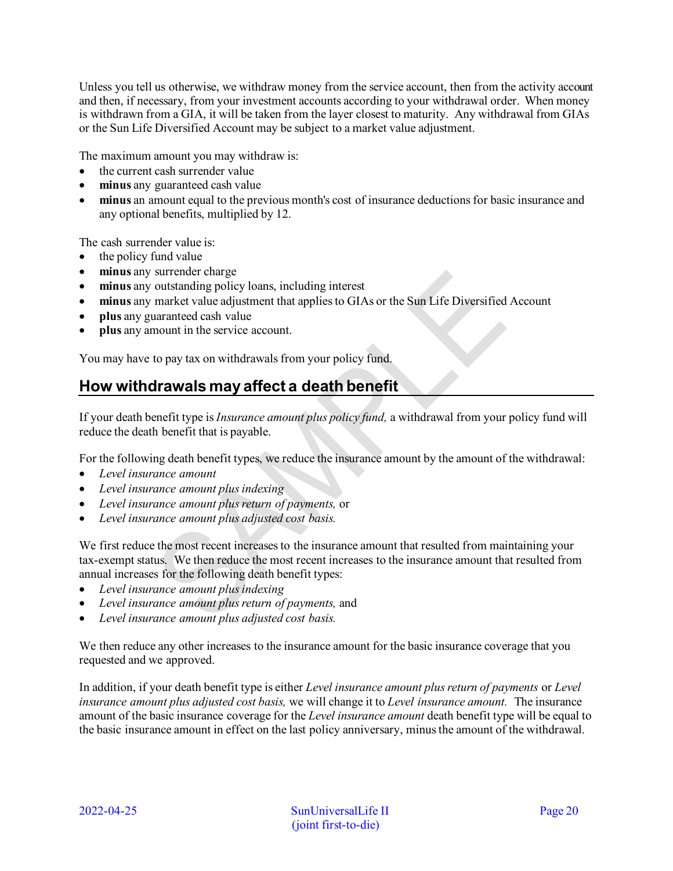Unless you tell us otherwise, we withdraw money from the service account, then from the activity account and then, if necessary, from your investment accounts according to your withdrawal order. When money is withdrawn from a GIA, it will be taken from the layer closest to maturity. Any withdrawal from GIAs or the Sun Life Diversified Account may be subject to a market value adjustment.

The maximum amount you may withdraw is:

- the current cash surrender value
- **minus** any guaranteed cash value
- **minus** an amount equal to the previous month's cost of insurance deductions for basic insurance and any optional benefits, multiplied by 12.

The cash surrender value is:

- the policy fund value
- **minus** any surrender charge
- **minus** any outstanding policy loans, including interest
- **minus** any market value adjustment that applies to GIAs or the Sun Life Diversified Account
- **plus** any guaranteed cash value
- **plus** any amount in the service account.

You may have to pay tax on withdrawals from your policy fund.

# <span id="page-19-0"></span>**How withdrawals may affect a death benefit**

If your death benefit type is *Insurance amount plus policy fund,* a withdrawal from your policy fund will reduce the death benefit that is payable.

For the following death benefit types, we reduce the insurance amount by the amount of the withdrawal:

- *Level insurance amount*
- *Level insurance amount plus indexing*
- *Level insurance amount plus return of payments,* or
- *Level insurance amount plus adjusted cost basis.*

We first reduce the most recent increases to the insurance amount that resulted from maintaining your tax-exempt status. We then reduce the most recent increases to the insurance amount that resulted from annual increases for the following death benefit types:

- *Level insurance amount plus indexing*
- *Level insurance amount plus return of payments,* and
- *Level insurance amount plus adjusted cost basis.*

We then reduce any other increases to the insurance amount for the basic insurance coverage that you requested and we approved.

In addition, if your death benefit type is either *Level insurance amount plus return of payments* or *Level insurance amount plus adjusted cost basis,* we will change it to *Level insurance amount.* The insurance amount of the basic insurance coverage for the *Level insurance amount* death benefit type will be equal to the basic insurance amount in effect on the last policy anniversary, minus the amount of the withdrawal.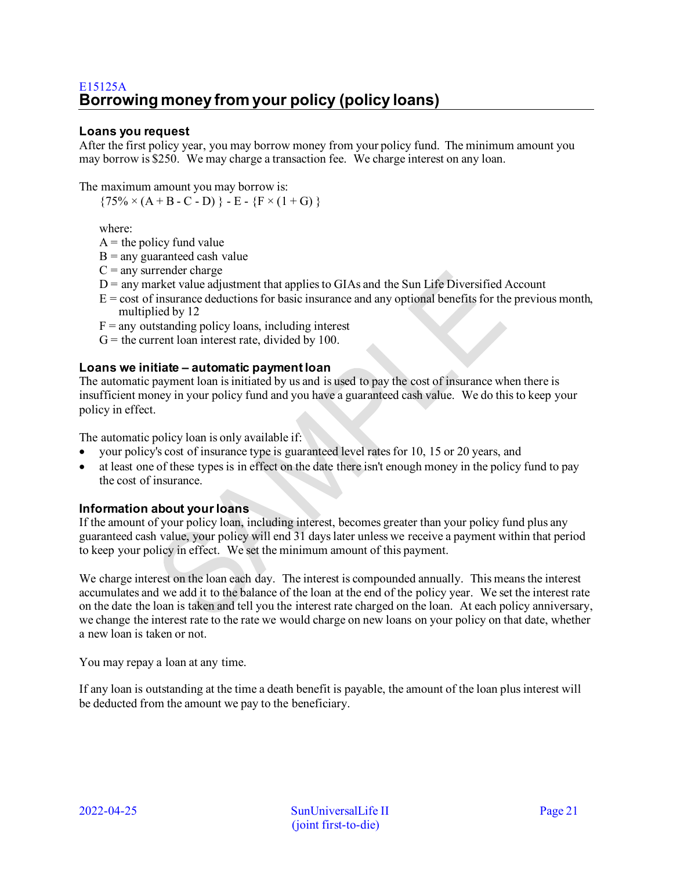## <span id="page-20-0"></span>**Loans you request**

After the first policy year, you may borrow money from your policy fund. The minimum amount you may borrow is \$250. We may charge a transaction fee. We charge interest on any loan.

The maximum amount you may borrow is:

 $\{75\% \times (A + B - C - D) \} - E - \{F \times (1 + G) \}$ 

where:

 $A =$  the policy fund value

- $B =$ any guaranteed cash value
- $C =$  any surrender charge
- $D$  = any market value adjustment that applies to GIAs and the Sun Life Diversified Account
- $E = \text{cost of insurance deductions}$  for basic insurance and any optional benefits for the previous month, multiplied by 12
- $F =$ any outstanding policy loans, including interest
- $G =$  the current loan interest rate, divided by 100.

### **Loans we initiate – automatic payment loan**

The automatic payment loan is initiated by us and is used to pay the cost of insurance when there is insufficient money in your policy fund and you have a guaranteed cash value. We do this to keep your policy in effect.

The automatic policy loan is only available if:

- your policy's cost of insurance type is guaranteed level rates for 10, 15 or 20 years, and
- at least one of these types is in effect on the date there isn't enough money in the policy fund to pay the cost of insurance.

### **Information about your loans**

If the amount of your policy loan, including interest, becomes greater than your policy fund plus any guaranteed cash value, your policy will end 31 days later unless we receive a payment within that period to keep your policy in effect. We set the minimum amount of this payment.

We charge interest on the loan each day. The interest is compounded annually. This means the interest accumulates and we add it to the balance of the loan at the end of the policy year. We set the interest rate on the date the loan is taken and tell you the interest rate charged on the loan. At each policy anniversary, we change the interest rate to the rate we would charge on new loans on your policy on that date, whether a new loan is taken or not.

You may repay a loan at any time.

If any loan is outstanding at the time a death benefit is payable, the amount of the loan plus interest will be deducted from the amount we pay to the beneficiary.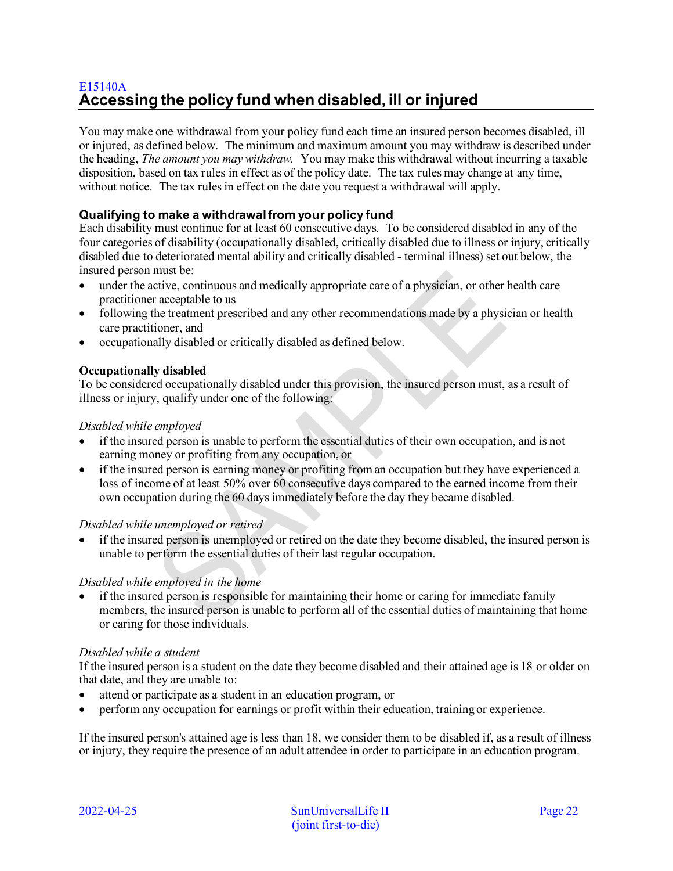# <span id="page-21-0"></span>E15140A **Accessing the policy fund when disabled, ill or injured**

You may make one withdrawal from your policy fund each time an insured person becomes disabled, ill or injured, as defined below. The minimum and maximum amount you may withdraw is described under the heading, *The amount you may withdraw.* You may make this withdrawal without incurring a taxable disposition, based on tax rules in effect as of the policy date. The tax rules may change at any time, without notice. The tax rules in effect on the date you request a withdrawal will apply.

## **Qualifying to make a withdrawal from your policy fund**

Each disability must continue for at least 60 consecutive days. To be considered disabled in any of the four categories of disability (occupationally disabled, critically disabled due to illness or injury, critically disabled due to deteriorated mental ability and critically disabled - terminal illness) set out below, the insured person must be:

- under the active, continuous and medically appropriate care of a physician, or other health care practitioner acceptable to us
- following the treatment prescribed and any other recommendations made by a physician or health care practitioner, and
- occupationally disabled or critically disabled as defined below.

## **Occupationally disabled**

To be considered occupationally disabled under this provision, the insured person must, as a result of illness or injury, qualify under one of the following:

## *Disabled while employed*

- if the insured person is unable to perform the essential duties of their own occupation, and is not earning money or profiting from any occupation, or
- if the insured person is earning money or profiting from an occupation but they have experienced a loss of income of at least 50% over 60 consecutive days compared to the earned income from their own occupation during the 60 days immediately before the day they became disabled.

### *Disabled while unemployed or retired*

• if the insured person is unemployed or retired on the date they become disabled, the insured person is unable to perform the essential duties of their last regular occupation.

### *Disabled while employed in the home*

• if the insured person is responsible for maintaining their home or caring for immediate family members, the insured person is unable to perform all of the essential duties of maintaining that home or caring for those individuals.

### *Disabled while a student*

If the insured person is a student on the date they become disabled and their attained age is 18 or older on that date, and they are unable to:

- attend or participate as a student in an education program, or
- perform any occupation for earnings or profit within their education, training or experience.

If the insured person's attained age is less than 18, we consider them to be disabled if, as a result of illness or injury, they require the presence of an adult attendee in order to participate in an education program.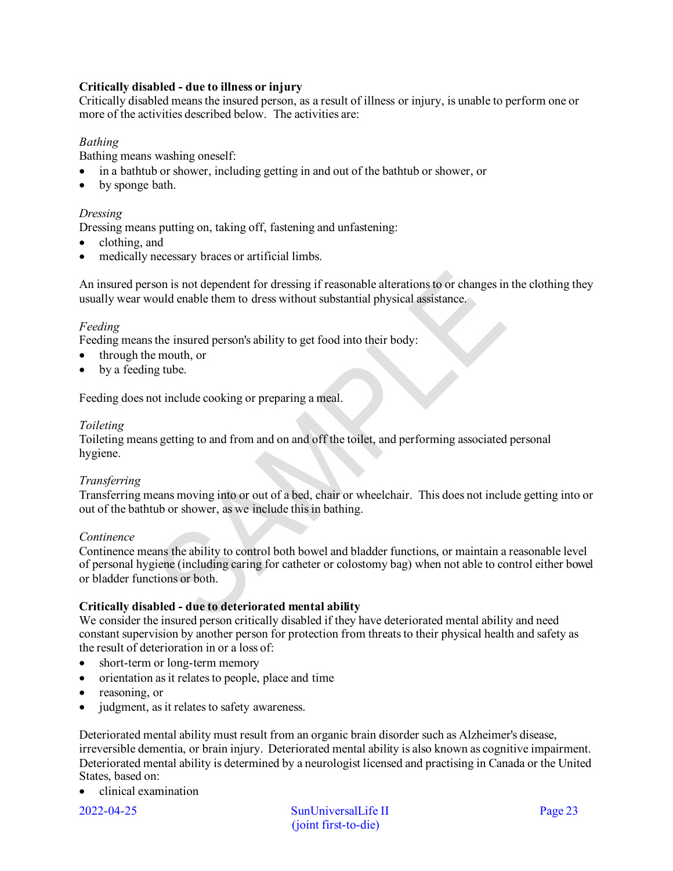## **Critically disabled - due to illness or injury**

Critically disabled means the insured person, as a result of illness or injury, is unable to perform one or more of the activities described below. The activities are:

## *Bathing*

Bathing means washing oneself:

- in a bathtub or shower, including getting in and out of the bathtub or shower, or
- by sponge bath.

### *Dressing*

Dressing means putting on, taking off, fastening and unfastening:

- clothing, and
- medically necessary braces or artificial limbs.

An insured person is not dependent for dressing if reasonable alterations to or changes in the clothing they usually wear would enable them to dress without substantial physical assistance.

### *Feeding*

Feeding means the insured person's ability to get food into their body:

- through the mouth, or
- by a feeding tube.

Feeding does not include cooking or preparing a meal.

#### *Toileting*

Toileting means getting to and from and on and off the toilet, and performing associated personal hygiene.

### *Transferring*

Transferring means moving into or out of a bed, chair or wheelchair. This does not include getting into or out of the bathtub or shower, as we include this in bathing.

#### *Continence*

Continence means the ability to control both bowel and bladder functions, or maintain a reasonable level of personal hygiene (including caring for catheter or colostomy bag) when not able to control either bowel or bladder functions or both.

### **Critically disabled - due to deteriorated mental ability**

We consider the insured person critically disabled if they have deteriorated mental ability and need constant supervision by another person for protection from threats to their physical health and safety as the result of deterioration in or a loss of:

- short-term or long-term memory
- orientation as it relates to people, place and time
- reasoning, or
- judgment, as it relates to safety awareness.

Deteriorated mental ability must result from an organic brain disorder such as Alzheimer's disease, irreversible dementia, or brain injury. Deteriorated mental ability is also known as cognitive impairment. Deteriorated mental ability is determined by a neurologist licensed and practising in Canada or the United States, based on:

• clinical examination

2022-04-25 SunUniversalLife II Page 23 (joint first-to-die)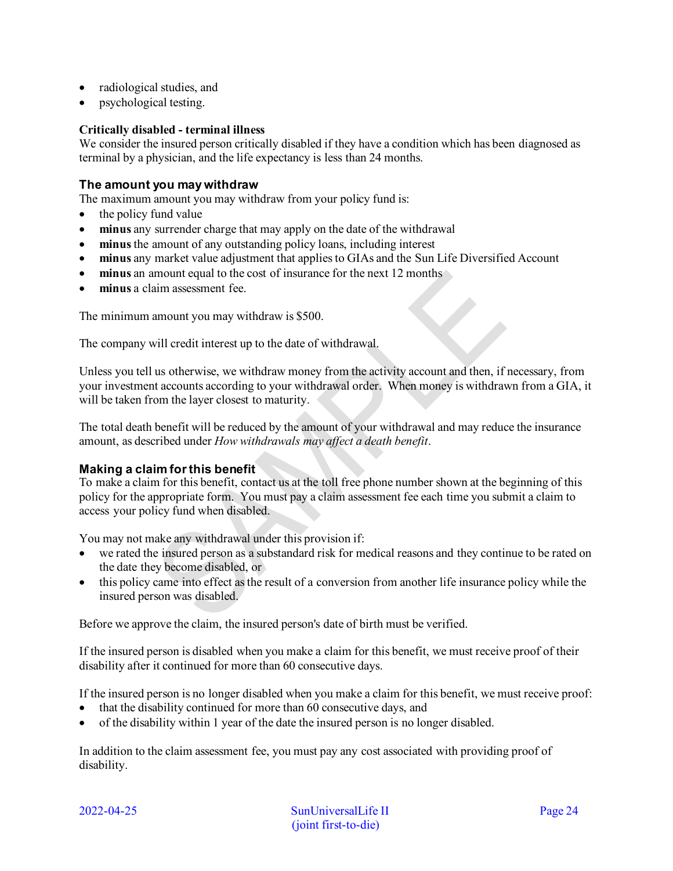- radiological studies, and
- psychological testing.

### **Critically disabled - terminal illness**

We consider the insured person critically disabled if they have a condition which has been diagnosed as terminal by a physician, and the life expectancy is less than 24 months.

### **The amount you may withdraw**

The maximum amount you may withdraw from your policy fund is:

- the policy fund value
- **minus** any surrender charge that may apply on the date of the withdrawal
- **minus** the amount of any outstanding policy loans, including interest
- **minus** any market value adjustment that applies to GIAs and the Sun Life Diversified Account
- **minus** an amount equal to the cost of insurance for the next 12 months
- **minus** a claim assessment fee.

The minimum amount you may withdraw is \$500.

The company will credit interest up to the date of withdrawal.

Unless you tell us otherwise, we withdraw money from the activity account and then, if necessary, from your investment accounts according to your withdrawal order. When money is withdrawn from a GIA, it will be taken from the layer closest to maturity.

The total death benefit will be reduced by the amount of your withdrawal and may reduce the insurance amount, as described under *How withdrawals may affect a death benefit*.

### **Making a claim for this benefit**

To make a claim for this benefit, contact us at the toll free phone number shown at the beginning of this policy for the appropriate form. You must pay a claim assessment fee each time you submit a claim to access your policy fund when disabled.

You may not make any withdrawal under this provision if:

- we rated the insured person as a substandard risk for medical reasons and they continue to be rated on the date they become disabled, or
- this policy came into effect as the result of a conversion from another life insurance policy while the insured person was disabled.

Before we approve the claim, the insured person's date of birth must be verified.

If the insured person is disabled when you make a claim for this benefit, we must receive proof of their disability after it continued for more than 60 consecutive days.

If the insured person is no longer disabled when you make a claim for this benefit, we must receive proof:

- that the disability continued for more than 60 consecutive days, and
- of the disability within 1 year of the date the insured person is no longer disabled.

In addition to the claim assessment fee, you must pay any cost associated with providing proof of disability.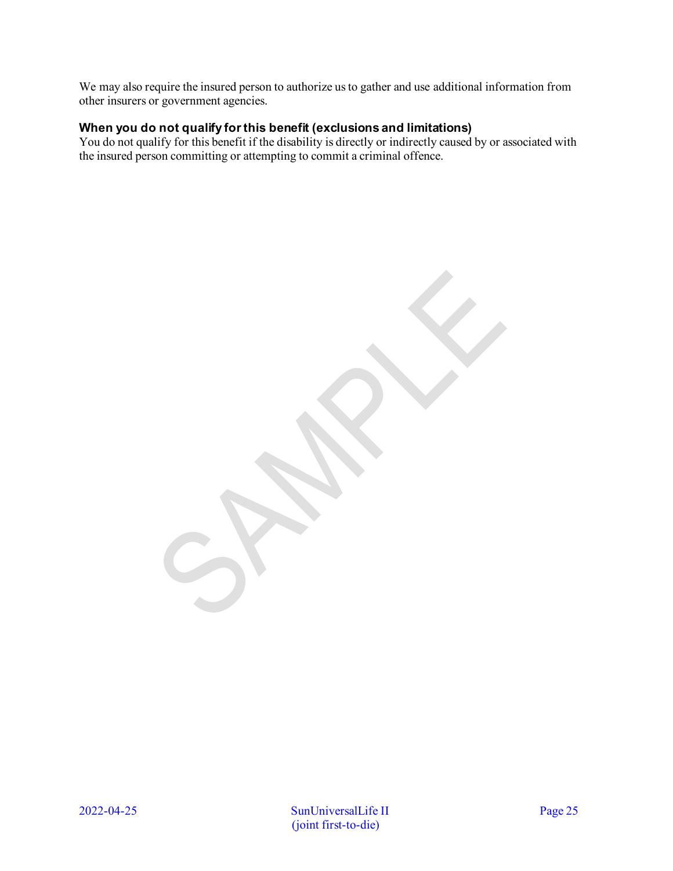We may also require the insured person to authorize us to gather and use additional information from other insurers or government agencies.

## **When you do not qualify for this benefit (exclusions and limitations)**

You do not qualify for this benefit if the disability is directly or indirectly caused by or associated with the insured person committing or attempting to commit a criminal offence.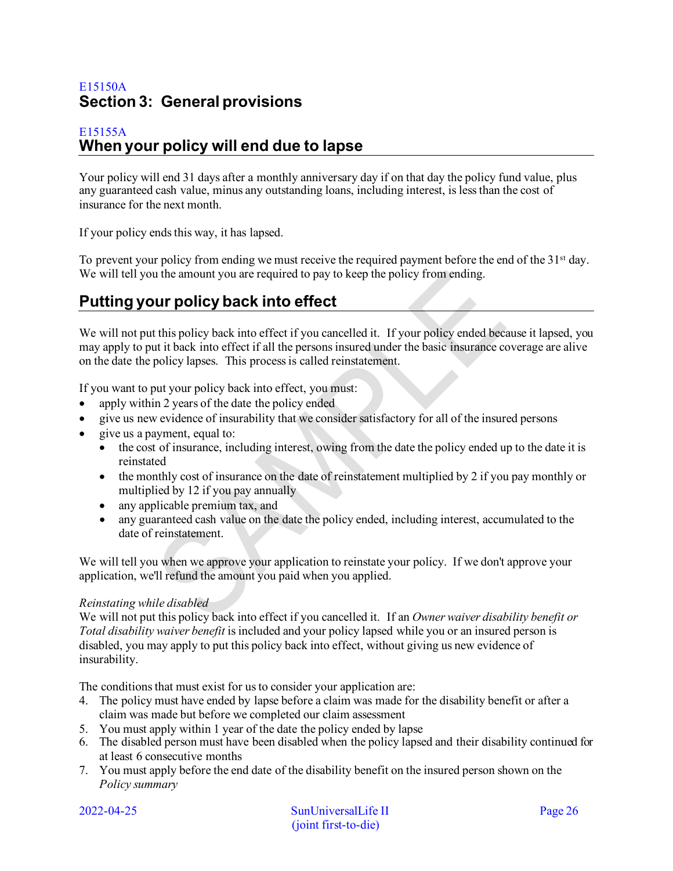# <span id="page-25-0"></span>E15150A **Section 3: General provisions**

## <span id="page-25-1"></span>E15155A **When your policy will end due to lapse**

Your policy will end 31 days after a monthly anniversary day if on that day the policy fund value, plus any guaranteed cash value, minus any outstanding loans, including interest, is less than the cost of insurance for the next month.

If your policy ends this way, it has lapsed.

To prevent your policy from ending we must receive the required payment before the end of the 31<sup>st</sup> day. We will tell you the amount you are required to pay to keep the policy from ending.

# <span id="page-25-2"></span>**Putting your policy back into effect**

We will not put this policy back into effect if you cancelled it. If your policy ended because it lapsed, you may apply to put it back into effect if all the persons insured under the basic insurance coverage are alive on the date the policy lapses. This process is called reinstatement.

If you want to put your policy back into effect, you must:

- apply within 2 years of the date the policy ended
- give us new evidence of insurability that we consider satisfactory for all of the insured persons
- give us a payment, equal to:
	- the cost of insurance, including interest, owing from the date the policy ended up to the date it is reinstated
	- the monthly cost of insurance on the date of reinstatement multiplied by 2 if you pay monthly or multiplied by 12 if you pay annually
	- any applicable premium tax, and
	- any guaranteed cash value on the date the policy ended, including interest, accumulated to the date of reinstatement.

We will tell you when we approve your application to reinstate your policy. If we don't approve your application, we'll refund the amount you paid when you applied.

### *Reinstating while disabled*

We will not put this policy back into effect if you cancelled it. If an *Owner waiver disability benefit or Total disability waiver benefit* is included and your policy lapsed while you or an insured person is disabled, you may apply to put this policy back into effect, without giving us new evidence of insurability.

The conditions that must exist for us to consider your application are:

- 4. The policy must have ended by lapse before a claim was made for the disability benefit or after a claim was made but before we completed our claim assessment
- 5. You must apply within 1 year of the date the policy ended by lapse
- 6. The disabled person must have been disabled when the policy lapsed and their disability continued for at least 6 consecutive months
- 7. You must apply before the end date of the disability benefit on the insured person shown on the *Policy summary*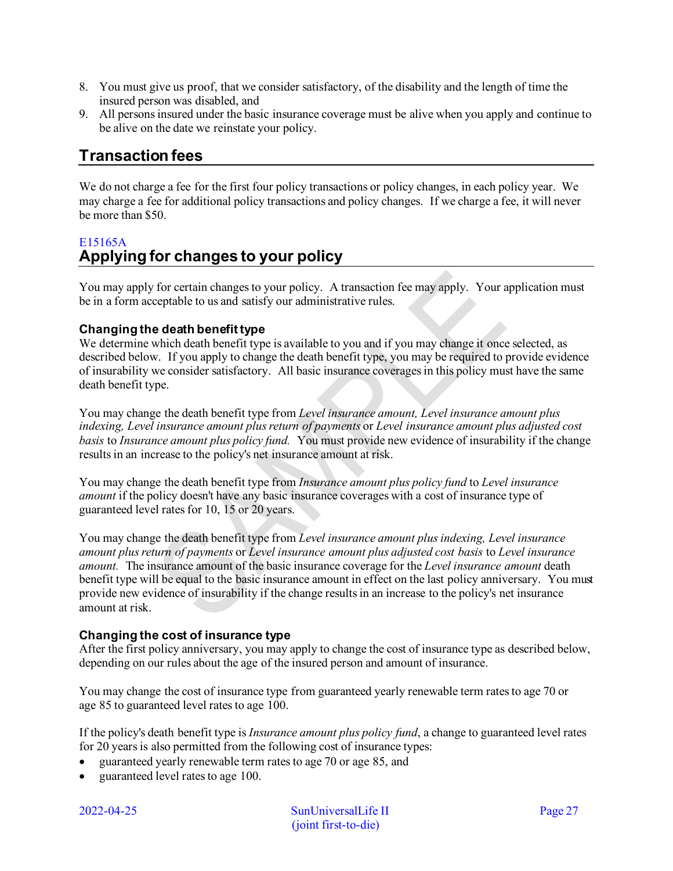- 8. You must give us proof, that we consider satisfactory, of the disability and the length of time the insured person was disabled, and
- 9. All persons insured under the basic insurance coverage must be alive when you apply and continue to be alive on the date we reinstate your policy.

# <span id="page-26-0"></span>**Transaction fees**

We do not charge a fee for the first four policy transactions or policy changes, in each policy year. We may charge a fee for additional policy transactions and policy changes. If we charge a fee, it will never be more than \$50.

# <span id="page-26-1"></span>E15165A **Applying for changes to your policy**

You may apply for certain changes to your policy. A transaction fee may apply. Your application must be in a form acceptable to us and satisfy our administrative rules.

## **Changing the death benefit type**

We determine which death benefit type is available to you and if you may change it once selected, as described below. If you apply to change the death benefit type, you may be required to provide evidence of insurability we consider satisfactory. All basic insurance coverages in this policy must have the same death benefit type.

You may change the death benefit type from *Level insurance amount, Level insurance amount plus indexing, Level insurance amount plus return of payments* or *Level insurance amount plus adjusted cost basis* to *Insurance amount plus policy fund.* You must provide new evidence of insurability if the change results in an increase to the policy's net insurance amount at risk.

You may change the death benefit type from *Insurance amount plus policy fund* to *Level insurance amount* if the policy doesn't have any basic insurance coverages with a cost of insurance type of guaranteed level rates for 10, 15 or 20 years.

You may change the death benefit type from *Level insurance amount plus indexing, Level insurance amount plus return of payments* or *Level insurance amount plus adjusted cost basis* to *Level insurance amount.* The insurance amount of the basic insurance coverage for the *Level insurance amount* death benefit type will be equal to the basic insurance amount in effect on the last policy anniversary. You must provide new evidence of insurability if the change results in an increase to the policy's net insurance amount at risk.

## **Changing the cost of insurance type**

After the first policy anniversary, you may apply to change the cost of insurance type as described below, depending on our rules about the age of the insured person and amount of insurance.

You may change the cost of insurance type from guaranteed yearly renewable term rates to age 70 or age 85 to guaranteed level rates to age 100.

If the policy's death benefit type is *Insurance amount plus policy fund*, a change to guaranteed level rates for 20 years is also permitted from the following cost of insurance types:

- guaranteed yearly renewable term rates to age 70 or age 85, and
- guaranteed level rates to age 100.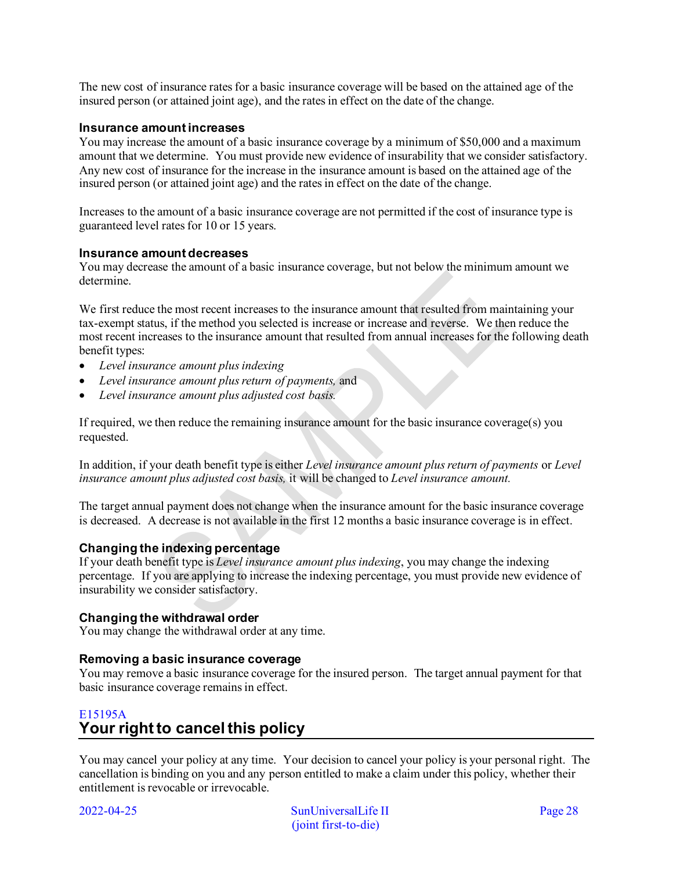The new cost of insurance rates for a basic insurance coverage will be based on the attained age of the insured person (or attained joint age), and the rates in effect on the date of the change.

### **Insurance amount increases**

You may increase the amount of a basic insurance coverage by a minimum of \$50,000 and a maximum amount that we determine. You must provide new evidence of insurability that we consider satisfactory. Any new cost of insurance for the increase in the insurance amount is based on the attained age of the insured person (or attained joint age) and the rates in effect on the date of the change.

Increases to the amount of a basic insurance coverage are not permitted if the cost of insurance type is guaranteed level rates for 10 or 15 years.

#### **Insurance amount decreases**

You may decrease the amount of a basic insurance coverage, but not below the minimum amount we determine.

We first reduce the most recent increases to the insurance amount that resulted from maintaining your tax-exempt status, if the method you selected is increase or increase and reverse. We then reduce the most recent increases to the insurance amount that resulted from annual increases for the following death benefit types:

- *Level insurance amount plus indexing*
- *Level insurance amount plus return of payments,* and
- *Level insurance amount plus adjusted cost basis.*

If required, we then reduce the remaining insurance amount for the basic insurance coverage(s) you requested.

In addition, if your death benefit type is either *Level insurance amount plus return of payments* or *Level insurance amount plus adjusted cost basis,* it will be changed to *Level insurance amount.* 

The target annual payment does not change when the insurance amount for the basic insurance coverage is decreased. A decrease is not available in the first 12 months a basic insurance coverage is in effect.

### **Changing the indexing percentage**

If your death benefit type is *Level insurance amount plus indexing*, you may change the indexing percentage. If you are applying to increase the indexing percentage, you must provide new evidence of insurability we consider satisfactory.

### **Changing the withdrawal order**

You may change the withdrawal order at any time.

### **Removing a basic insurance coverage**

You may remove a basic insurance coverage for the insured person. The target annual payment for that basic insurance coverage remains in effect.

## <span id="page-27-0"></span>E15195A **Your right to cancel this policy**

You may cancel your policy at any time. Your decision to cancel your policy is your personal right. The cancellation is binding on you and any person entitled to make a claim under this policy, whether their entitlement is revocable or irrevocable.

2022-04-25 SunUniversalLife II Page 28 (joint first-to-die)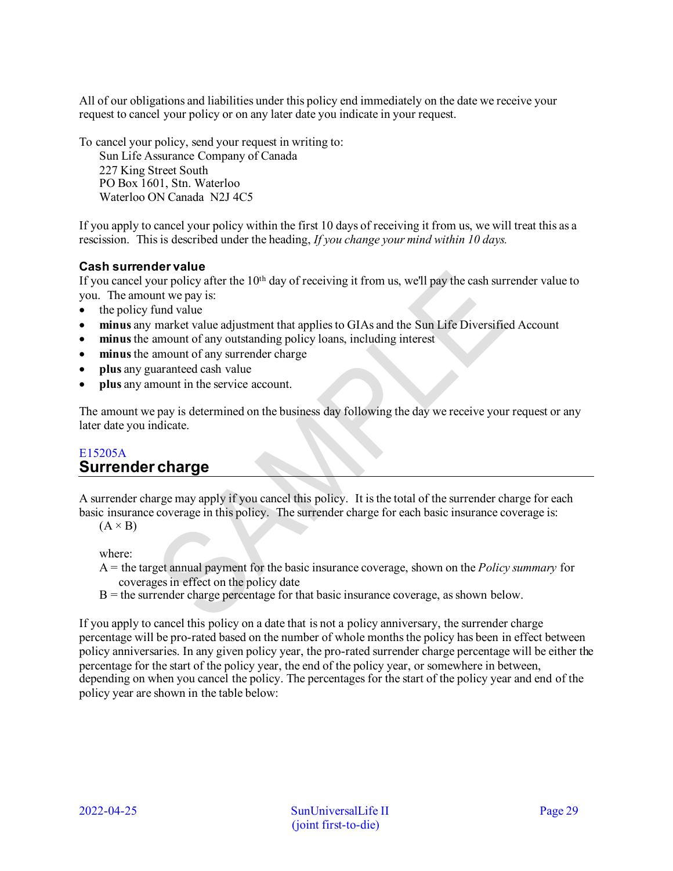All of our obligations and liabilities under this policy end immediately on the date we receive your request to cancel your policy or on any later date you indicate in your request.

To cancel your policy, send your request in writing to:

Sun Life Assurance Company of Canada 227 King Street South PO Box 1601, Stn. Waterloo Waterloo ON Canada N2J 4C5

If you apply to cancel your policy within the first 10 days of receiving it from us, we will treat this as a rescission. This is described under the heading, *If you change your mind within 10 days.* 

## **Cash surrender value**

If you cancel your policy after the  $10<sup>th</sup>$  day of receiving it from us, we'll pay the cash surrender value to you. The amount we pay is:

- the policy fund value
- **minus** any market value adjustment that applies to GIAs and the Sun Life Diversified Account
- **minus** the amount of any outstanding policy loans, including interest
- minus the amount of any surrender charge
- **plus** any guaranteed cash value
- **plus** any amount in the service account.

The amount we pay is determined on the business day following the day we receive your request or any later date you indicate.

## <span id="page-28-0"></span>E15205A **Surrender charge**

A surrender charge may apply if you cancel this policy. It is the total of the surrender charge for each basic insurance coverage in this policy. The surrender charge for each basic insurance coverage is:

 $(A \times B)$ 

where:

- A = the target annual payment for the basic insurance coverage, shown on the *Policy summary* for coverages in effect on the policy date
- $B =$  the surrender charge percentage for that basic insurance coverage, as shown below.

If you apply to cancel this policy on a date that is not a policy anniversary, the surrender charge percentage will be pro-rated based on the number of whole months the policy has been in effect between policy anniversaries. In any given policy year, the pro-rated surrender charge percentage will be either the percentage for the start of the policy year, the end of the policy year, or somewhere in between, depending on when you cancel the policy. The percentages for the start of the policy year and end of the policy year are shown in the table below: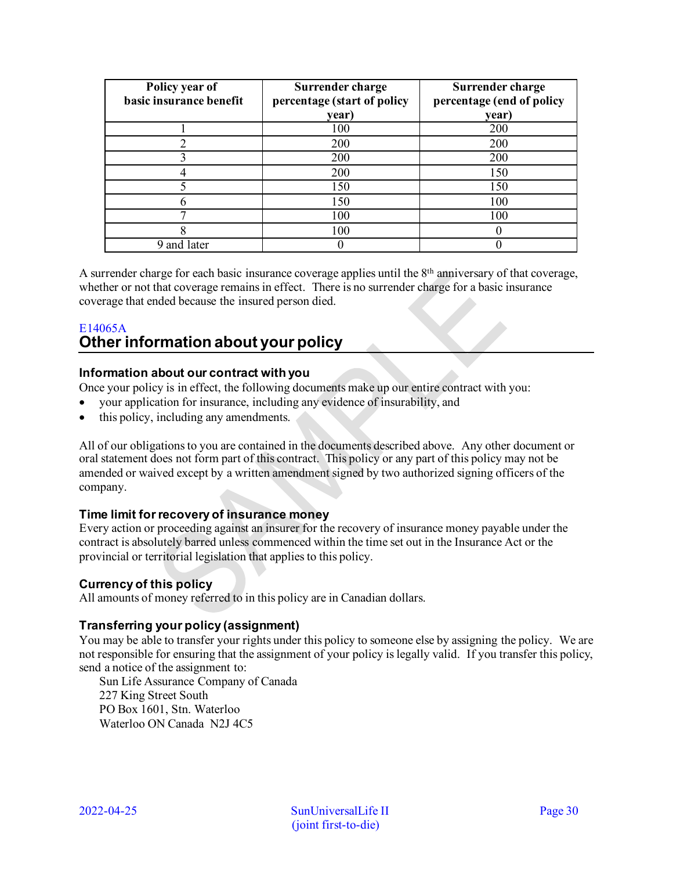| Policy year of<br>basic insurance benefit | Surrender charge<br>percentage (start of policy | Surrender charge<br>percentage (end of policy |
|-------------------------------------------|-------------------------------------------------|-----------------------------------------------|
|                                           | year)                                           | year)                                         |
|                                           | 100                                             | 200                                           |
|                                           | 200                                             | 200                                           |
|                                           | 200                                             | 200                                           |
|                                           | 200                                             | 150                                           |
|                                           | 150                                             | 150                                           |
|                                           | 150                                             | 100                                           |
|                                           | 100                                             | 100                                           |
|                                           | 100                                             |                                               |
| 9 and later                               |                                                 |                                               |

A surrender charge for each basic insurance coverage applies until the  $8<sup>th</sup>$  anniversary of that coverage, whether or not that coverage remains in effect. There is no surrender charge for a basic insurance coverage that ended because the insured person died.

## <span id="page-29-0"></span>E14065A **Other information about your policy**

## **Information about our contract with you**

Once your policy is in effect, the following documents make up our entire contract with you:

- your application for insurance, including any evidence of insurability, and
- this policy, including any amendments.

All of our obligations to you are contained in the documents described above. Any other document or oral statement does not form part of this contract. This policy or any part of this policy may not be amended or waived except by a written amendment signed by two authorized signing officers of the company.

## **Time limit for recovery of insurance money**

Every action or proceeding against an insurer for the recovery of insurance money payable under the contract is absolutely barred unless commenced within the time set out in the Insurance Act or the provincial or territorial legislation that applies to this policy.

## **Currency of this policy**

All amounts of money referred to in this policy are in Canadian dollars.

## **Transferring your policy (assignment)**

You may be able to transfer your rights under this policy to someone else by assigning the policy. We are not responsible for ensuring that the assignment of your policy is legally valid. If you transfer this policy, send a notice of the assignment to:

Sun Life Assurance Company of Canada 227 King Street South PO Box 1601, Stn. Waterloo Waterloo ON Canada N2J 4C5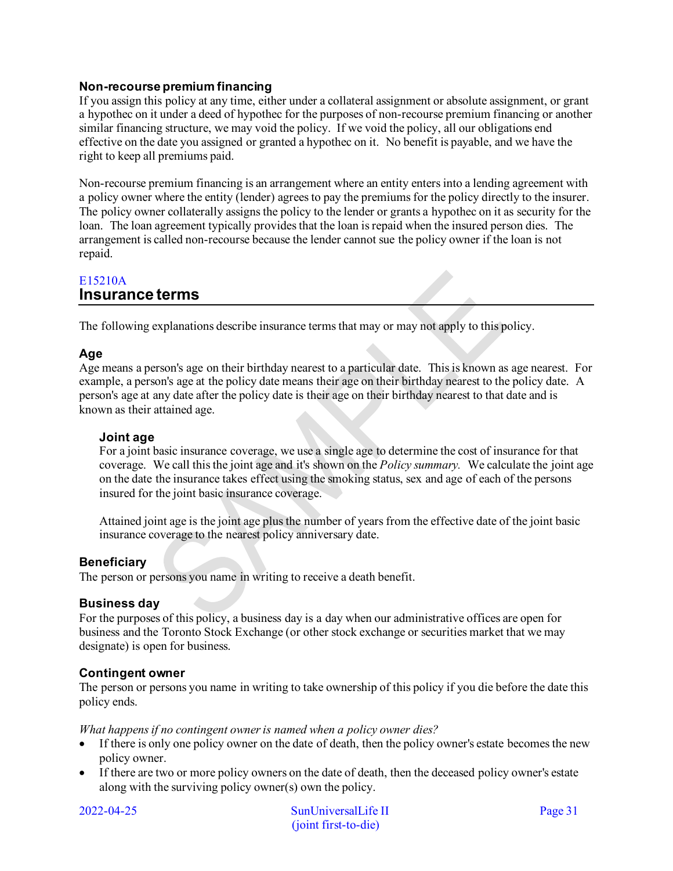## **Non-recourse premium financing**

If you assign this policy at any time, either under a collateral assignment or absolute assignment, or grant a hypothec on it under a deed of hypothec for the purposes of non-recourse premium financing or another similar financing structure, we may void the policy. If we void the policy, all our obligations end effective on the date you assigned or granted a hypothec on it. No benefit is payable, and we have the right to keep all premiums paid.

Non-recourse premium financing is an arrangement where an entity enters into a lending agreement with a policy owner where the entity (lender) agrees to pay the premiums for the policy directly to the insurer. The policy owner collaterally assigns the policy to the lender or grants a hypothec on it as security for the loan. The loan agreement typically provides that the loan is repaid when the insured person dies. The arrangement is called non-recourse because the lender cannot sue the policy owner if the loan is not repaid.

## <span id="page-30-0"></span>E15210A **Insurance terms**

The following explanations describe insurance terms that may or may not apply to this policy.

## **Age**

Age means a person's age on their birthday nearest to a particular date. This is known as age nearest. For example, a person's age at the policy date means their age on their birthday nearest to the policy date. A person's age at any date after the policy date is their age on their birthday nearest to that date and is known as their attained age.

## **Joint age**

For a joint basic insurance coverage, we use a single age to determine the cost of insurance for that coverage. We call this the joint age and it's shown on the *Policy summary.* We calculate the joint age on the date the insurance takes effect using the smoking status, sex and age of each of the persons insured for the joint basic insurance coverage.

Attained joint age is the joint age plus the number of years from the effective date of the joint basic insurance coverage to the nearest policy anniversary date.

## **Beneficiary**

The person or persons you name in writing to receive a death benefit.

### **Business day**

For the purposes of this policy, a business day is a day when our administrative offices are open for business and the Toronto Stock Exchange (or other stock exchange or securities market that we may designate) is open for business.

### **Contingent owner**

The person or persons you name in writing to take ownership of this policy if you die before the date this policy ends.

*What happens if no contingent owner is named when a policy owner dies?* 

- If there is only one policy owner on the date of death, then the policy owner's estate becomes the new policy owner.
- If there are two or more policy owners on the date of death, then the deceased policy owner's estate along with the surviving policy owner(s) own the policy.

2022-04-25 SunUniversalLife II Page 31 (joint first-to-die)